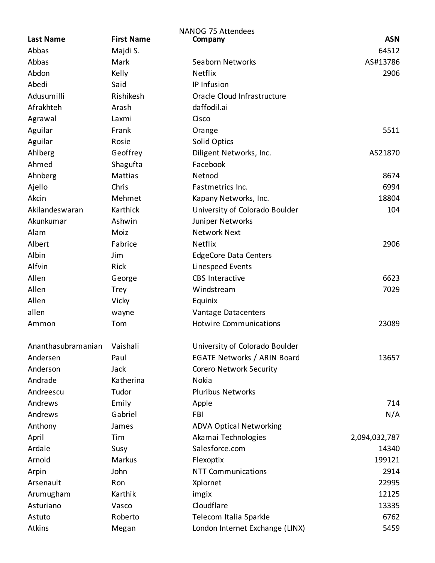|                    |                   | <b>NANOG 75 Attendees</b>          |               |
|--------------------|-------------------|------------------------------------|---------------|
| <b>Last Name</b>   | <b>First Name</b> | Company                            | <b>ASN</b>    |
| Abbas              | Majdi S.          |                                    | 64512         |
| Abbas              | Mark              | Seaborn Networks                   | AS#13786      |
| Abdon              | Kelly             | Netflix                            | 2906          |
| Abedi              | Said              | IP Infusion                        |               |
| Adusumilli         | Rishikesh         | Oracle Cloud Infrastructure        |               |
| Afrakhteh          | Arash             | daffodil.ai                        |               |
| Agrawal            | Laxmi             | Cisco                              |               |
| Aguilar            | Frank             | Orange                             | 5511          |
| Aguilar            | Rosie             | <b>Solid Optics</b>                |               |
| Ahlberg            | Geoffrey          | Diligent Networks, Inc.            | AS21870       |
| Ahmed              | Shagufta          | Facebook                           |               |
| Ahnberg            | <b>Mattias</b>    | Netnod                             | 8674          |
| Ajello             | Chris             | Fastmetrics Inc.                   | 6994          |
| Akcin              | Mehmet            | Kapany Networks, Inc.              | 18804         |
| Akilandeswaran     | Karthick          | University of Colorado Boulder     | 104           |
| Akunkumar          | Ashwin            | Juniper Networks                   |               |
| Alam               | Moiz              | <b>Network Next</b>                |               |
| Albert             | Fabrice           | Netflix                            | 2906          |
| Albin              | Jim               | <b>EdgeCore Data Centers</b>       |               |
| Alfvin             | Rick              | Linespeed Events                   |               |
| Allen              | George            | <b>CBS</b> Interactive             | 6623          |
| Allen              | <b>Trey</b>       | Windstream                         | 7029          |
| Allen              | Vicky             | Equinix                            |               |
| allen              | wayne             | Vantage Datacenters                |               |
| Ammon              | Tom               | <b>Hotwire Communications</b>      | 23089         |
|                    |                   |                                    |               |
| Ananthasubramanian | Vaishali          | University of Colorado Boulder     |               |
| Andersen           | Paul              | <b>EGATE Networks / ARIN Board</b> | 13657         |
| Anderson           | Jack              | <b>Corero Network Security</b>     |               |
| Andrade            | Katherina         | Nokia                              |               |
| Andreescu          | Tudor             | <b>Pluribus Networks</b>           |               |
| Andrews            | Emily             | Apple                              | 714           |
| Andrews            | Gabriel           | <b>FBI</b>                         | N/A           |
| Anthony            | James             | <b>ADVA Optical Networking</b>     |               |
| April              | Tim               | Akamai Technologies                | 2,094,032,787 |
| Ardale             | Susy              | Salesforce.com                     | 14340         |
| Arnold             | Markus            | Flexoptix                          | 199121        |
| Arpin              | John              | <b>NTT Communications</b>          | 2914          |
| Arsenault          | Ron               | Xplornet                           | 22995         |
| Arumugham          | Karthik           | imgix                              | 12125         |
| Asturiano          | Vasco             | Cloudflare                         | 13335         |
| Astuto             | Roberto           | Telecom Italia Sparkle             | 6762          |
| <b>Atkins</b>      | Megan             | London Internet Exchange (LINX)    | 5459          |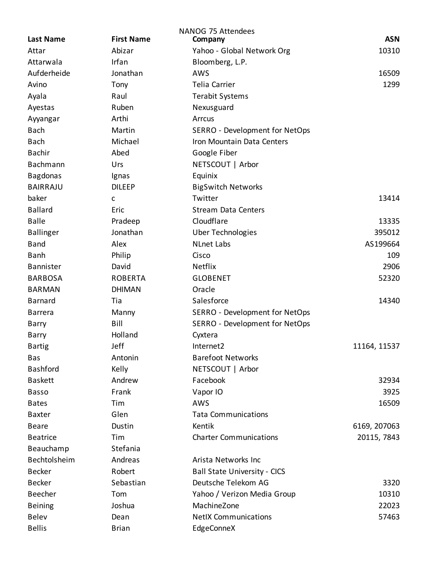|                  |                   | NANOG 75 Attendees                  |              |
|------------------|-------------------|-------------------------------------|--------------|
| <b>Last Name</b> | <b>First Name</b> | Company                             | <b>ASN</b>   |
| Attar            | Abizar            | Yahoo - Global Network Org          | 10310        |
| Attarwala        | Irfan             | Bloomberg, L.P.                     |              |
| Aufderheide      | Jonathan          | AWS                                 | 16509        |
| Avino            | Tony              | <b>Telia Carrier</b>                | 1299         |
| Ayala            | Raul              | <b>Terabit Systems</b>              |              |
| Ayestas          | Ruben             | Nexusguard                          |              |
| Ayyangar         | Arthi             | Arrcus                              |              |
| <b>Bach</b>      | Martin            | SERRO - Development for NetOps      |              |
| <b>Bach</b>      | Michael           | Iron Mountain Data Centers          |              |
| <b>Bachir</b>    | Abed              | Google Fiber                        |              |
| Bachmann         | Urs               | NETSCOUT   Arbor                    |              |
| <b>Bagdonas</b>  | Ignas             | Equinix                             |              |
| <b>BAIRRAJU</b>  | <b>DILEEP</b>     | <b>BigSwitch Networks</b>           |              |
| baker            | C                 | Twitter                             | 13414        |
| <b>Ballard</b>   | Eric              | <b>Stream Data Centers</b>          |              |
| <b>Balle</b>     | Pradeep           | Cloudflare                          | 13335        |
| <b>Ballinger</b> | Jonathan          | <b>Uber Technologies</b>            | 395012       |
| <b>Band</b>      | Alex              | <b>NLnet Labs</b>                   | AS199664     |
| <b>Banh</b>      | Philip            | Cisco                               | 109          |
| <b>Bannister</b> | David             | <b>Netflix</b>                      | 2906         |
| <b>BARBOSA</b>   | <b>ROBERTA</b>    | <b>GLOBENET</b>                     | 52320        |
| <b>BARMAN</b>    | <b>DHIMAN</b>     | Oracle                              |              |
| <b>Barnard</b>   | Tia               | Salesforce                          | 14340        |
| <b>Barrera</b>   | Manny             | SERRO - Development for NetOps      |              |
| Barry            | Bill              | SERRO - Development for NetOps      |              |
| Barry            | Holland           | Cyxtera                             |              |
| <b>Bartig</b>    | Jeff              | Internet <sub>2</sub>               | 11164, 11537 |
| <b>Bas</b>       | Antonin           | <b>Barefoot Networks</b>            |              |
| <b>Bashford</b>  | Kelly             | NETSCOUT   Arbor                    |              |
| <b>Baskett</b>   | Andrew            | Facebook                            | 32934        |
| <b>Basso</b>     | Frank             | Vapor IO                            | 3925         |
| <b>Bates</b>     | Tim               | AWS                                 | 16509        |
| <b>Baxter</b>    | Glen              | <b>Tata Communications</b>          |              |
| <b>Beare</b>     | Dustin            | Kentik                              | 6169, 207063 |
| <b>Beatrice</b>  | Tim               | <b>Charter Communications</b>       | 20115, 7843  |
| Beauchamp        | Stefania          |                                     |              |
| Bechtolsheim     | Andreas           | Arista Networks Inc                 |              |
| <b>Becker</b>    | Robert            | <b>Ball State University - CICS</b> |              |
| <b>Becker</b>    | Sebastian         | Deutsche Telekom AG                 | 3320         |
| Beecher          | Tom               | Yahoo / Verizon Media Group         | 10310        |
| <b>Beining</b>   | Joshua            | MachineZone                         | 22023        |
| <b>Belev</b>     | Dean              | <b>NetIX Communications</b>         | 57463        |
| <b>Bellis</b>    | <b>Brian</b>      | EdgeConneX                          |              |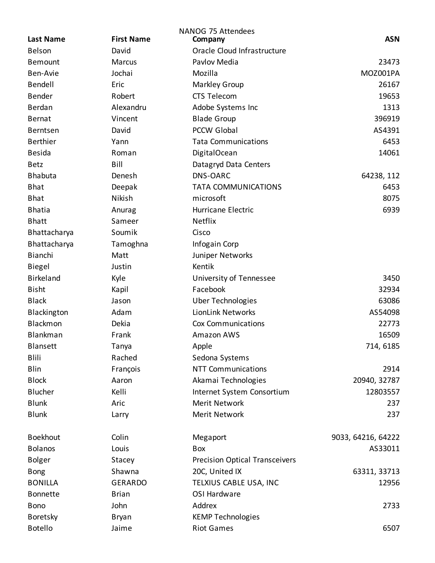|                  |                   | <b>NANOG 75 Attendees</b>             |                    |
|------------------|-------------------|---------------------------------------|--------------------|
| <b>Last Name</b> | <b>First Name</b> | Company                               | <b>ASN</b>         |
| Belson           | David             | Oracle Cloud Infrastructure           |                    |
| <b>Bemount</b>   | <b>Marcus</b>     | Pavlov Media                          | 23473              |
| Ben-Avie         | Jochai            | Mozilla                               | MOZ001PA           |
| Bendell          | Eric              | <b>Markley Group</b>                  | 26167              |
| Bender           | Robert            | <b>CTS Telecom</b>                    | 19653              |
| Berdan           | Alexandru         | Adobe Systems Inc                     | 1313               |
| Bernat           | Vincent           | <b>Blade Group</b>                    | 396919             |
| Berntsen         | David             | <b>PCCW Global</b>                    | AS4391             |
| <b>Berthier</b>  | Yann              | <b>Tata Communications</b>            | 6453               |
| <b>Besida</b>    | Roman             | DigitalOcean                          | 14061              |
| <b>Betz</b>      | Bill              | Datagryd Data Centers                 |                    |
| <b>Bhabuta</b>   | Denesh            | DNS-OARC                              | 64238, 112         |
| <b>Bhat</b>      | Deepak            | <b>TATA COMMUNICATIONS</b>            | 6453               |
| <b>Bhat</b>      | Nikish            | microsoft                             | 8075               |
| <b>Bhatia</b>    | Anurag            | Hurricane Electric                    | 6939               |
| <b>Bhatt</b>     | Sameer            | <b>Netflix</b>                        |                    |
| Bhattacharya     | Soumik            | Cisco                                 |                    |
| Bhattacharya     | Tamoghna          | Infogain Corp                         |                    |
| Bianchi          | Matt              | Juniper Networks                      |                    |
| <b>Biegel</b>    | Justin            | Kentik                                |                    |
| Birkeland        | Kyle              | University of Tennessee               | 3450               |
| <b>Bisht</b>     | Kapil             | Facebook                              | 32934              |
| <b>Black</b>     | Jason             | <b>Uber Technologies</b>              | 63086              |
| Blackington      | Adam              | <b>LionLink Networks</b>              | AS54098            |
| Blackmon         | Dekia             | Cox Communications                    | 22773              |
| Blankman         | Frank             | Amazon AWS                            | 16509              |
| <b>Blansett</b>  | Tanya             | Apple                                 | 714, 6185          |
| <b>Blili</b>     | Rached            | Sedona Systems                        |                    |
| Blin             | François          | <b>NTT Communications</b>             | 2914               |
| <b>Block</b>     | Aaron             | Akamai Technologies                   | 20940, 32787       |
| Blucher          | Kelli             | Internet System Consortium            | 12803557           |
| <b>Blunk</b>     | Aric              | <b>Merit Network</b>                  | 237                |
| <b>Blunk</b>     | Larry             | Merit Network                         | 237                |
| <b>Boekhout</b>  | Colin             | Megaport                              | 9033, 64216, 64222 |
| <b>Bolanos</b>   | Louis             | Box                                   | AS33011            |
| <b>Bolger</b>    | Stacey            | <b>Precision Optical Transceivers</b> |                    |
| <b>Bong</b>      | Shawna            | 20C, United IX                        | 63311, 33713       |
| <b>BONILLA</b>   | <b>GERARDO</b>    | TELXIUS CABLE USA, INC                | 12956              |
| <b>Bonnette</b>  | <b>Brian</b>      | OSI Hardware                          |                    |
| <b>Bono</b>      | John              | Addrex                                | 2733               |
| Boretsky         | <b>Bryan</b>      | <b>KEMP Technologies</b>              |                    |
| <b>Botello</b>   | Jaime             | <b>Riot Games</b>                     | 6507               |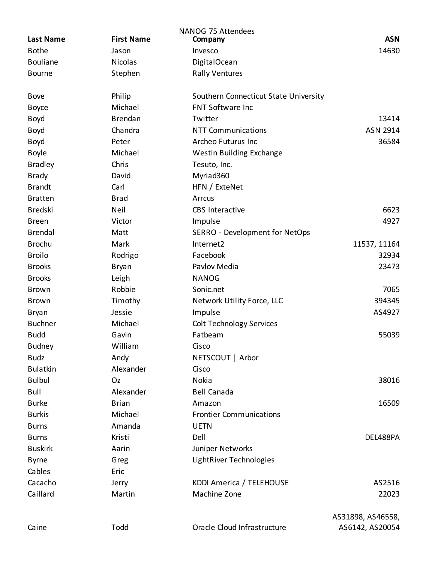| <b>Last Name</b> | <b>First Name</b> | NANOG 75 Attendees<br>Company         | <b>ASN</b>        |
|------------------|-------------------|---------------------------------------|-------------------|
| <b>Bothe</b>     | Jason             | Invesco                               | 14630             |
| <b>Bouliane</b>  | <b>Nicolas</b>    | DigitalOcean                          |                   |
| <b>Bourne</b>    | Stephen           | <b>Rally Ventures</b>                 |                   |
| <b>Bove</b>      | Philip            | Southern Connecticut State University |                   |
| <b>Boyce</b>     | Michael           | <b>FNT Software Inc</b>               |                   |
| <b>Boyd</b>      | <b>Brendan</b>    | Twitter                               | 13414             |
| <b>Boyd</b>      | Chandra           | <b>NTT Communications</b>             | ASN 2914          |
| <b>Boyd</b>      | Peter             | Archeo Futurus Inc                    | 36584             |
| <b>Boyle</b>     | Michael           | Westin Building Exchange              |                   |
| <b>Bradley</b>   | Chris             | Tesuto, Inc.                          |                   |
| <b>Brady</b>     | David             | Myriad360                             |                   |
| <b>Brandt</b>    | Carl              | HFN / ExteNet                         |                   |
| <b>Bratten</b>   | <b>Brad</b>       | Arrcus                                |                   |
| <b>Bredski</b>   | <b>Neil</b>       | <b>CBS</b> Interactive                | 6623              |
| <b>Breen</b>     | Victor            | Impulse                               | 4927              |
| <b>Brendal</b>   | Matt              | SERRO - Development for NetOps        |                   |
| <b>Brochu</b>    | Mark              | Internet2                             | 11537, 11164      |
| <b>Broilo</b>    | Rodrigo           | Facebook                              | 32934             |
| <b>Brooks</b>    | Bryan             | Pavlov Media                          | 23473             |
| <b>Brooks</b>    | Leigh             | <b>NANOG</b>                          |                   |
| <b>Brown</b>     | Robbie            | Sonic.net                             | 7065              |
| <b>Brown</b>     | Timothy           | Network Utility Force, LLC            | 394345            |
| <b>Bryan</b>     | Jessie            | Impulse                               | AS4927            |
| <b>Buchner</b>   | Michael           | <b>Colt Technology Services</b>       |                   |
| <b>Budd</b>      | Gavin             | Fatbeam                               | 55039             |
| <b>Budney</b>    | William           | Cisco                                 |                   |
| <b>Budz</b>      | Andy              | NETSCOUT   Arbor                      |                   |
| <b>Bulatkin</b>  | Alexander         | Cisco                                 |                   |
| <b>Bulbul</b>    | Oz                | Nokia                                 | 38016             |
| <b>Bull</b>      | Alexander         | <b>Bell Canada</b>                    |                   |
| <b>Burke</b>     | <b>Brian</b>      | Amazon                                | 16509             |
| <b>Burkis</b>    | Michael           | <b>Frontier Communications</b>        |                   |
| <b>Burns</b>     | Amanda            | <b>UETN</b>                           |                   |
| <b>Burns</b>     | Kristi            | Dell                                  | DEL488PA          |
| <b>Buskirk</b>   | Aarin             | Juniper Networks                      |                   |
| <b>Byrne</b>     | Greg              | LightRiver Technologies               |                   |
| Cables           | Eric              |                                       |                   |
| Cacacho          | Jerry             | KDDI America / TELEHOUSE              | AS2516            |
| Caillard         | Martin            | Machine Zone                          | 22023             |
|                  |                   |                                       | AS31898, AS46558, |
| Caine            | Todd              | Oracle Cloud Infrastructure           | AS6142, AS20054   |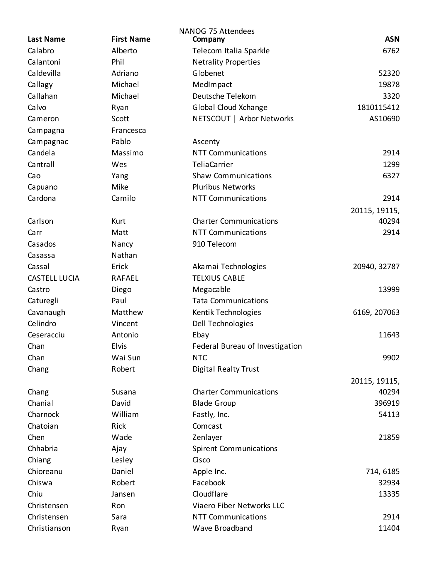| <b>Last Name</b>     | <b>First Name</b> | NANOG 75 Attendees<br>Company   | <b>ASN</b>    |
|----------------------|-------------------|---------------------------------|---------------|
| Calabro              | Alberto           | Telecom Italia Sparkle          | 6762          |
| Calantoni            | Phil              | <b>Netrality Properties</b>     |               |
| Caldevilla           | Adriano           | Globenet                        | 52320         |
| Callagy              | Michael           | MedImpact                       | 19878         |
| Callahan             | Michael           | Deutsche Telekom                | 3320          |
| Calvo                |                   | Global Cloud Xchange            | 1810115412    |
| Cameron              | Ryan<br>Scott     | NETSCOUT   Arbor Networks       | AS10690       |
|                      |                   |                                 |               |
| Campagna             | Francesca         |                                 |               |
| Campagnac            | Pablo             | Ascenty                         |               |
| Candela              | Massimo           | <b>NTT Communications</b>       | 2914          |
| Cantrall             | Wes               | <b>TeliaCarrier</b>             | 1299          |
| Cao                  | Yang              | <b>Shaw Communications</b>      | 6327          |
| Capuano              | Mike              | <b>Pluribus Networks</b>        |               |
| Cardona              | Camilo            | <b>NTT Communications</b>       | 2914          |
|                      |                   |                                 | 20115, 19115, |
| Carlson              | Kurt              | <b>Charter Communications</b>   | 40294         |
| Carr                 | Matt              | <b>NTT Communications</b>       | 2914          |
| Casados              | Nancy             | 910 Telecom                     |               |
| Casassa              | Nathan            |                                 |               |
| Cassal               | Erick             | Akamai Technologies             | 20940, 32787  |
| <b>CASTELL LUCIA</b> | <b>RAFAEL</b>     | <b>TELXIUS CABLE</b>            |               |
| Castro               | Diego             | Megacable                       | 13999         |
| Caturegli            | Paul              | <b>Tata Communications</b>      |               |
| Cavanaugh            | Matthew           | Kentik Technologies             | 6169, 207063  |
| Celindro             | Vincent           | Dell Technologies               |               |
| Ceseracciu           | Antonio           | Ebay                            | 11643         |
| Chan                 | Elvis             | Federal Bureau of Investigation |               |
| Chan                 | Wai Sun           | <b>NTC</b>                      | 9902          |
| Chang                | Robert            | <b>Digital Realty Trust</b>     |               |
|                      |                   |                                 | 20115, 19115, |
| Chang                | Susana            | <b>Charter Communications</b>   | 40294         |
| Chanial              | David             | <b>Blade Group</b>              | 396919        |
| Charnock             | William           | Fastly, Inc.                    | 54113         |
| Chatoian             | Rick              | Comcast                         |               |
| Chen                 | Wade              | Zenlayer                        | 21859         |
| Chhabria             | Ajay              | <b>Spirent Communications</b>   |               |
| Chiang               | Lesley            | Cisco                           |               |
| Chioreanu            | Daniel            | Apple Inc.                      | 714, 6185     |
| Chiswa               | Robert            | Facebook                        | 32934         |
| Chiu                 | Jansen            | Cloudflare                      | 13335         |
| Christensen          | Ron               | Viaero Fiber Networks LLC       |               |
| Christensen          | Sara              | <b>NTT Communications</b>       | 2914          |
| Christianson         | Ryan              | Wave Broadband                  | 11404         |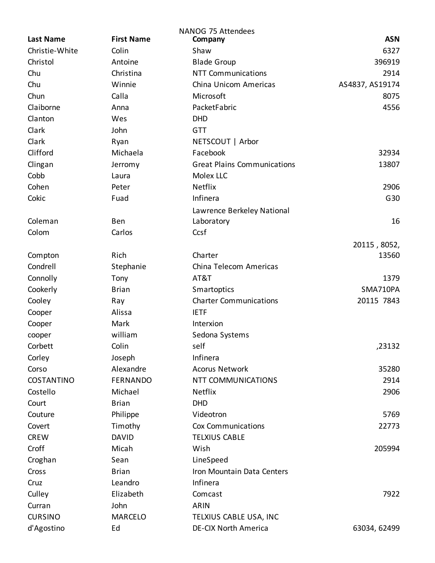|                   |                   | NANOG 75 Attendees                 |                 |
|-------------------|-------------------|------------------------------------|-----------------|
| <b>Last Name</b>  | <b>First Name</b> | Company                            | <b>ASN</b>      |
| Christie-White    | Colin             | Shaw                               | 6327            |
| Christol          | Antoine           | <b>Blade Group</b>                 | 396919          |
| Chu               | Christina         | <b>NTT Communications</b>          | 2914            |
| Chu               | Winnie            | China Unicom Americas              | AS4837, AS19174 |
| Chun              | Calla             | Microsoft                          | 8075            |
| Claiborne         | Anna              | PacketFabric                       | 4556            |
| Clanton           | Wes               | <b>DHD</b>                         |                 |
| Clark             | John              | <b>GTT</b>                         |                 |
| Clark             | Ryan              | NETSCOUT   Arbor                   |                 |
| Clifford          | Michaela          | Facebook                           | 32934           |
| Clingan           | Jerromy           | <b>Great Plains Communications</b> | 13807           |
| Cobb              | Laura             | Molex LLC                          |                 |
| Cohen             | Peter             | Netflix                            | 2906            |
| Cokic             | Fuad              | Infinera                           | G30             |
|                   |                   | Lawrence Berkeley National         |                 |
| Coleman           | Ben               | Laboratory                         | 16              |
| Colom             | Carlos            | Ccsf                               |                 |
|                   |                   |                                    | 20115, 8052,    |
| Compton           | Rich              | Charter                            | 13560           |
| Condrell          | Stephanie         | China Telecom Americas             |                 |
| Connolly          | Tony              | AT&T                               | 1379            |
| Cookerly          | <b>Brian</b>      | Smartoptics                        | SMA710PA        |
| Cooley            | Ray               | <b>Charter Communications</b>      | 20115 7843      |
| Cooper            | Alissa            | <b>IETF</b>                        |                 |
| Cooper            | Mark              | Interxion                          |                 |
| cooper            | william           | Sedona Systems                     |                 |
| Corbett           | Colin             | self                               | ,23132          |
| Corley            | Joseph            | Infinera                           |                 |
| Corso             | Alexandre         | <b>Acorus Network</b>              | 35280           |
| <b>COSTANTINO</b> | <b>FERNANDO</b>   | <b>NTT COMMUNICATIONS</b>          | 2914            |
| Costello          | Michael           | Netflix                            | 2906            |
| Court             | <b>Brian</b>      | <b>DHD</b>                         |                 |
| Couture           | Philippe          | Videotron                          | 5769            |
| Covert            | Timothy           | <b>Cox Communications</b>          | 22773           |
| <b>CREW</b>       | <b>DAVID</b>      | <b>TELXIUS CABLE</b>               |                 |
| Croff             | Micah             | Wish                               | 205994          |
| Croghan           | Sean              | LineSpeed                          |                 |
| Cross             | <b>Brian</b>      | Iron Mountain Data Centers         |                 |
|                   |                   | Infinera                           |                 |
| Cruz              | Leandro           |                                    |                 |
| Culley            | Elizabeth         | Comcast                            | 7922            |
| Curran            | John              | <b>ARIN</b>                        |                 |
| <b>CURSINO</b>    | <b>MARCELO</b>    | TELXIUS CABLE USA, INC             |                 |
| d'Agostino        | Ed                | DE-CIX North America               | 63034, 62499    |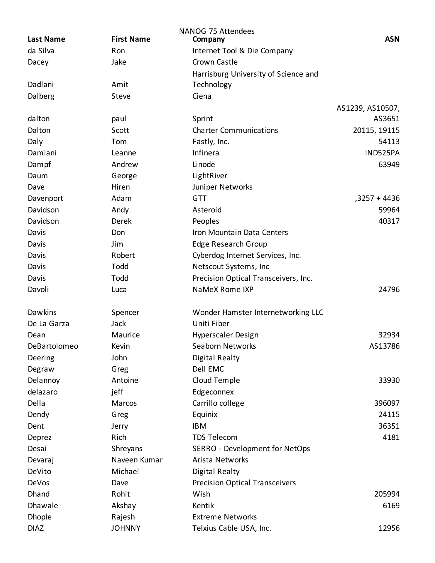| <b>Last Name</b> | <b>First Name</b> | <b>NANOG 75 Attendees</b><br>Company  | <b>ASN</b>       |
|------------------|-------------------|---------------------------------------|------------------|
| da Silva         | Ron               | Internet Tool & Die Company           |                  |
| Dacey            | Jake              | Crown Castle                          |                  |
|                  |                   | Harrisburg University of Science and  |                  |
| Dadlani          | Amit              | Technology                            |                  |
| Dalberg          | Steve             | Ciena                                 |                  |
|                  |                   |                                       | AS1239, AS10507, |
| dalton           | paul              | Sprint                                | AS3651           |
| Dalton           | Scott             | <b>Charter Communications</b>         | 20115, 19115     |
| Daly             | Tom               | Fastly, Inc.                          | 54113            |
| Damiani          | Leanne            | Infinera                              | IND525PA         |
| Dampf            | Andrew            | Linode                                | 63949            |
| Daum             | George            | LightRiver                            |                  |
| Dave             | Hiren             | Juniper Networks                      |                  |
| Davenport        | Adam              | <b>GTT</b>                            | ,3257 + 4436     |
| Davidson         | Andy              | Asteroid                              | 59964            |
| Davidson         | Derek             | Peoples                               | 40317            |
| Davis            | Don               | Iron Mountain Data Centers            |                  |
| Davis            | Jim               | Edge Research Group                   |                  |
| Davis            | Robert            | Cyberdog Internet Services, Inc.      |                  |
| Davis            | Todd              | Netscout Systems, Inc                 |                  |
| Davis            | Todd              | Precision Optical Transceivers, Inc.  |                  |
| Davoli           | Luca              | NaMeX Rome IXP                        | 24796            |
|                  |                   |                                       |                  |
| Dawkins          | Spencer           | Wonder Hamster Internetworking LLC    |                  |
| De La Garza      | Jack              | Uniti Fiber                           |                  |
| Dean             | Maurice           | Hyperscaler.Design                    | 32934            |
| DeBartolomeo     | Kevin             | Seaborn Networks                      | AS13786          |
| Deering          | John              | Digital Realty                        |                  |
| Degraw           | Greg              | Dell EMC                              |                  |
| Delannoy         | Antoine           | Cloud Temple                          | 33930            |
| delazaro         | jeff              | Edgeconnex                            |                  |
| Della            | Marcos            | Carrillo college                      | 396097           |
| Dendy            | Greg              | Equinix                               | 24115            |
| Dent             | Jerry             | <b>IBM</b>                            | 36351            |
| Deprez           | Rich              | <b>TDS Telecom</b>                    | 4181             |
| Desai            | Shreyans          | SERRO - Development for NetOps        |                  |
| Devaraj          | Naveen Kumar      | Arista Networks                       |                  |
| DeVito           | Michael           | <b>Digital Realty</b>                 |                  |
| DeVos            | Dave              | <b>Precision Optical Transceivers</b> |                  |
| Dhand            | Rohit             | Wish                                  | 205994           |
| Dhawale          | Akshay            | Kentik                                | 6169             |
| <b>Dhople</b>    | Rajesh            | <b>Extreme Networks</b>               |                  |
| <b>DIAZ</b>      | <b>JOHNNY</b>     | Telxius Cable USA, Inc.               | 12956            |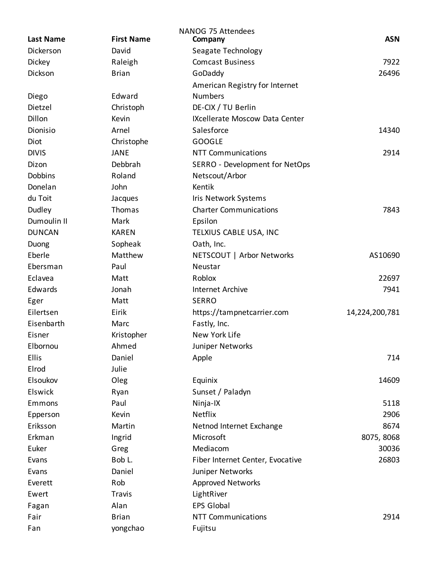| <b>Last Name</b> | <b>First Name</b> | <b>NANOG 75 Attendees</b><br>Company | <b>ASN</b>     |
|------------------|-------------------|--------------------------------------|----------------|
| Dickerson        | David             | Seagate Technology                   |                |
| Dickey           | Raleigh           | <b>Comcast Business</b>              | 7922           |
| Dickson          | <b>Brian</b>      | GoDaddy                              | 26496          |
|                  |                   | American Registry for Internet       |                |
| Diego            | Edward            | <b>Numbers</b>                       |                |
| Dietzel          | Christoph         | DE-CIX / TU Berlin                   |                |
| Dillon           | Kevin             | IXcellerate Moscow Data Center       |                |
| Dionisio         | Arnel             | Salesforce                           | 14340          |
| Diot             | Christophe        | <b>GOOGLE</b>                        |                |
| <b>DIVIS</b>     | <b>JANE</b>       | <b>NTT Communications</b>            | 2914           |
| Dizon            | Debbrah           | SERRO - Development for NetOps       |                |
| <b>Dobbins</b>   | Roland            | Netscout/Arbor                       |                |
| Donelan          | John              | Kentik                               |                |
| du Toit          | Jacques           | Iris Network Systems                 |                |
| Dudley           | Thomas            | <b>Charter Communications</b>        | 7843           |
| Dumoulin II      | Mark              | Epsilon                              |                |
| <b>DUNCAN</b>    | <b>KAREN</b>      | TELXIUS CABLE USA, INC               |                |
| Duong            | Sopheak           | Oath, Inc.                           |                |
| Eberle           | Matthew           | NETSCOUT   Arbor Networks            | AS10690        |
| Ebersman         | Paul              | Neustar                              |                |
| Eclavea          | Matt              | Roblox                               | 22697          |
| Edwards          | Jonah             | <b>Internet Archive</b>              | 7941           |
| Eger             | Matt              | <b>SERRO</b>                         |                |
| Eilertsen        | Eirik             | https://tampnetcarrier.com           | 14,224,200,781 |
| Eisenbarth       | Marc              | Fastly, Inc.                         |                |
| Eisner           | Kristopher        | New York Life                        |                |
| Elbornou         | Ahmed             | Juniper Networks                     |                |
| Ellis            | Daniel            | Apple                                | 714            |
| Elrod            | Julie             |                                      |                |
| Elsoukov         | Oleg              | Equinix                              | 14609          |
| Elswick          | Ryan              | Sunset / Paladyn                     |                |
| Emmons           | Paul              | Ninja-IX                             | 5118           |
| Epperson         | Kevin             | Netflix                              | 2906           |
| Eriksson         | Martin            | Netnod Internet Exchange             | 8674           |
| Erkman           | Ingrid            | Microsoft                            | 8075, 8068     |
| Euker            | Greg              | Mediacom                             | 30036          |
| Evans            | Bob L.            | Fiber Internet Center, Evocative     | 26803          |
| Evans            | Daniel            | Juniper Networks                     |                |
| Everett          | Rob               | <b>Approved Networks</b>             |                |
| Ewert            | Travis            | LightRiver                           |                |
| Fagan            | Alan              | <b>EPS Global</b>                    |                |
| Fair             | <b>Brian</b>      | <b>NTT Communications</b>            | 2914           |
| Fan              | yongchao          | Fujitsu                              |                |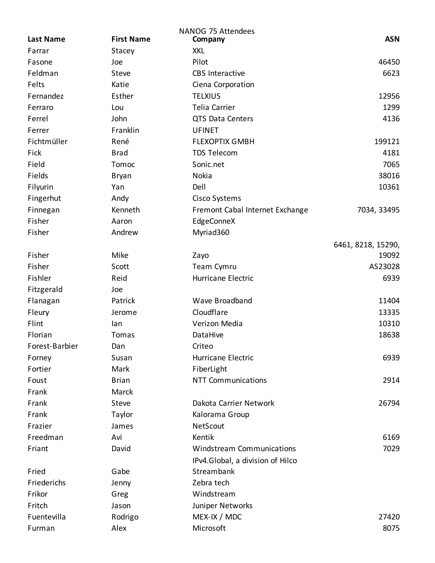|                  |                   | NANOG 75 Attendees               |                    |
|------------------|-------------------|----------------------------------|--------------------|
| <b>Last Name</b> | <b>First Name</b> | Company                          | <b>ASN</b>         |
| Farrar           | Stacey            | <b>XKL</b>                       |                    |
| Fasone           | Joe               | Pilot                            | 46450              |
| Feldman          | Steve             | <b>CBS</b> Interactive           | 6623               |
| Felts            | Katie             | Ciena Corporation                |                    |
| Fernandez        | Esther            | <b>TELXIUS</b>                   | 12956              |
| Ferraro          | Lou               | Telia Carrier                    | 1299               |
| Ferrel           | John              | QTS Data Centers                 | 4136               |
| Ferrer           | Franklin          | <b>UFINET</b>                    |                    |
| Fichtmüller      | René              | <b>FLEXOPTIX GMBH</b>            | 199121             |
| Fick             | <b>Brad</b>       | <b>TDS Telecom</b>               | 4181               |
| Field            | Tomoc             | Sonic.net                        | 7065               |
| Fields           | <b>Bryan</b>      | Nokia                            | 38016              |
| Filyurin         | Yan               | Dell                             | 10361              |
| Fingerhut        | Andy              | Cisco Systems                    |                    |
| Finnegan         | Kenneth           | Fremont Cabal Internet Exchange  | 7034, 33495        |
| Fisher           | Aaron             | EdgeConneX                       |                    |
| Fisher           | Andrew            | Myriad360                        |                    |
|                  |                   |                                  | 6461, 8218, 15290, |
| Fisher           | Mike              | Zayo                             | 19092              |
| Fisher           | Scott             | Team Cymru                       | AS23028            |
| Fishler          | Reid              | Hurricane Electric               | 6939               |
| Fitzgerald       | Joe               |                                  |                    |
| Flanagan         | Patrick           | Wave Broadband                   | 11404              |
| Fleury           | Jerome            | Cloudflare                       | 13335              |
| Flint            | lan               | Verizon Media                    | 10310              |
| Florian          | Tomas             | DataHive                         | 18638              |
| Forest-Barbier   | Dan               | Criteo                           |                    |
| Forney           | Susan             | Hurricane Electric               | 6939               |
| Fortier          | Mark              | FiberLight                       |                    |
| Foust            | <b>Brian</b>      | <b>NTT Communications</b>        | 2914               |
| Frank            | <b>Marck</b>      |                                  |                    |
| Frank            | <b>Steve</b>      | Dakota Carrier Network           | 26794              |
| Frank            | Taylor            | Kalorama Group                   |                    |
| Frazier          | James             | NetScout                         |                    |
| Freedman         | Avi               | Kentik                           | 6169               |
| Friant           | David             | <b>Windstream Communications</b> | 7029               |
|                  |                   | IPv4.Global, a division of Hilco |                    |
| Fried            | Gabe              | Streambank                       |                    |
| Friederichs      | Jenny             | Zebra tech                       |                    |
| Frikor           | Greg              | Windstream                       |                    |
| Fritch           | Jason             | Juniper Networks                 |                    |
| Fuentevilla      | Rodrigo           | MEX-IX / MDC                     | 27420              |
| Furman           | Alex              | Microsoft                        | 8075               |
|                  |                   |                                  |                    |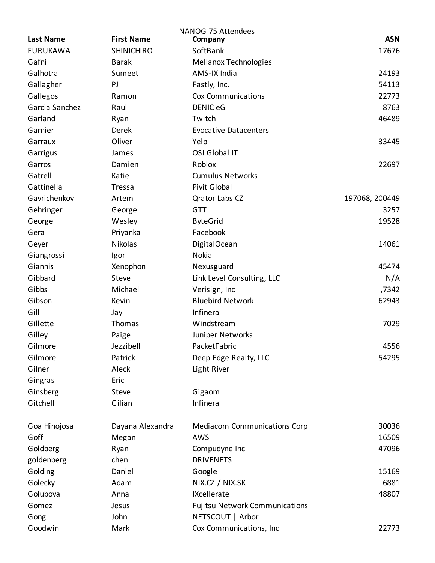|                  |                   | <b>NANOG 75 Attendees</b>             |                |
|------------------|-------------------|---------------------------------------|----------------|
| <b>Last Name</b> | <b>First Name</b> | Company                               | <b>ASN</b>     |
| <b>FURUKAWA</b>  | <b>SHINICHIRO</b> | SoftBank                              | 17676          |
| Gafni            | <b>Barak</b>      | Mellanox Technologies                 |                |
| Galhotra         | Sumeet            | AMS-IX India                          | 24193          |
| Gallagher        | PJ                | Fastly, Inc.                          | 54113          |
| Gallegos         | Ramon             | Cox Communications                    | 22773          |
| Garcia Sanchez   | Raul              | <b>DENIC eG</b>                       | 8763           |
| Garland          | Ryan              | Twitch                                | 46489          |
| Garnier          | Derek             | <b>Evocative Datacenters</b>          |                |
| Garraux          | Oliver            | Yelp                                  | 33445          |
| Garrigus         | James             | OSI Global IT                         |                |
| Garros           | Damien            | Roblox                                | 22697          |
| Gatrell          | Katie             | <b>Cumulus Networks</b>               |                |
| Gattinella       | Tressa            | Pivit Global                          |                |
| Gavrichenkov     | Artem             | <b>Qrator Labs CZ</b>                 | 197068, 200449 |
| Gehringer        | George            | <b>GTT</b>                            | 3257           |
| George           | Wesley            | <b>ByteGrid</b>                       | 19528          |
| Gera             | Priyanka          | Facebook                              |                |
| Geyer            | Nikolas           | DigitalOcean                          | 14061          |
| Giangrossi       | Igor              | Nokia                                 |                |
| Giannis          | Xenophon          | Nexusguard                            | 45474          |
| Gibbard          | Steve             | Link Level Consulting, LLC            | N/A            |
| Gibbs            | Michael           | Verisign, Inc                         | ,7342          |
| Gibson           | Kevin             | <b>Bluebird Network</b>               | 62943          |
| Gill             | Jay               | Infinera                              |                |
| Gillette         | Thomas            | Windstream                            | 7029           |
| Gilley           | Paige             | Juniper Networks                      |                |
| Gilmore          | Jezzibell         | PacketFabric                          | 4556           |
| Gilmore          | Patrick           | Deep Edge Realty, LLC                 | 54295          |
| Gilner           | Aleck             | Light River                           |                |
| Gingras          | Eric              |                                       |                |
| Ginsberg         | Steve             | Gigaom                                |                |
| Gitchell         | Gilian            | Infinera                              |                |
|                  |                   |                                       |                |
| Goa Hinojosa     | Dayana Alexandra  | <b>Mediacom Communications Corp</b>   | 30036          |
| Goff             | Megan             | AWS                                   | 16509          |
| Goldberg         | Ryan              | Compudyne Inc                         | 47096          |
| goldenberg       | chen              | <b>DRIVENETS</b>                      |                |
| Golding          | Daniel            | Google                                | 15169          |
| Golecky          | Adam              | NIX.CZ / NIX.SK                       | 6881           |
| Golubova         | Anna              | IXcellerate                           | 48807          |
| Gomez            | Jesus             | <b>Fujitsu Network Communications</b> |                |
| Gong             | John              | NETSCOUT   Arbor                      |                |
| Goodwin          | Mark              | Cox Communications, Inc               | 22773          |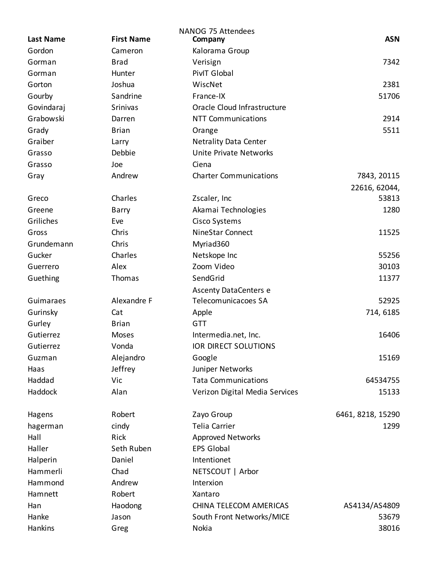|                            |                   | <b>NANOG 75 Attendees</b>      | <b>ASN</b>        |
|----------------------------|-------------------|--------------------------------|-------------------|
| <b>Last Name</b><br>Gordon | <b>First Name</b> | Company                        |                   |
|                            | Cameron           | Kalorama Group                 |                   |
| Gorman                     | <b>Brad</b>       | Verisign                       | 7342              |
| Gorman                     | Hunter            | PivIT Global                   |                   |
| Gorton                     | Joshua            | WiscNet                        | 2381              |
| Gourby                     | Sandrine          | France-IX                      | 51706             |
| Govindaraj                 | Srinivas          | Oracle Cloud Infrastructure    |                   |
| Grabowski                  | Darren            | <b>NTT Communications</b>      | 2914              |
| Grady                      | <b>Brian</b>      | Orange                         | 5511              |
| Graiber                    | Larry             | <b>Netrality Data Center</b>   |                   |
| Grasso                     | Debbie            | Unite Private Networks         |                   |
| Grasso                     | Joe               | Ciena                          |                   |
| Gray                       | Andrew            | <b>Charter Communications</b>  | 7843, 20115       |
|                            |                   |                                | 22616, 62044,     |
| Greco                      | Charles           | Zscaler, Inc                   | 53813             |
| Greene                     | Barry             | Akamai Technologies            | 1280              |
| Griliches                  | Eve               | Cisco Systems                  |                   |
| Gross                      | Chris             | <b>NineStar Connect</b>        | 11525             |
| Grundemann                 | Chris             | Myriad360                      |                   |
| Gucker                     | Charles           | Netskope Inc                   | 55256             |
| Guerrero                   | Alex              | Zoom Video                     | 30103             |
| Guething                   | Thomas            | SendGrid                       | 11377             |
|                            |                   | <b>Ascenty DataCenters e</b>   |                   |
| Guimaraes                  | Alexandre F       | Telecomunicacoes SA            | 52925             |
| Gurinsky                   | Cat               | Apple                          | 714, 6185         |
| Gurley                     | <b>Brian</b>      | <b>GTT</b>                     |                   |
| Gutierrez                  | Moses             | Intermedia.net, Inc.           | 16406             |
| Gutierrez                  | Vonda             | <b>IOR DIRECT SOLUTIONS</b>    |                   |
| Guzman                     | Alejandro         | Google                         | 15169             |
| Haas                       | Jeffrey           | Juniper Networks               |                   |
| Haddad                     | Vic               | <b>Tata Communications</b>     | 64534755          |
| Haddock                    | Alan              | Verizon Digital Media Services | 15133             |
|                            |                   |                                |                   |
| Hagens                     | Robert            | Zayo Group                     | 6461, 8218, 15290 |
| hagerman                   | cindy             | Telia Carrier                  | 1299              |
| Hall                       | Rick              | Approved Networks              |                   |
| Haller                     | Seth Ruben        | <b>EPS Global</b>              |                   |
| Halperin                   | Daniel            | Intentionet                    |                   |
| Hammerli                   | Chad              | NETSCOUT   Arbor               |                   |
| Hammond                    | Andrew            | Interxion                      |                   |
| Hamnett                    | Robert            | Xantaro                        |                   |
| Han                        | Haodong           | CHINA TELECOM AMERICAS         | AS4134/AS4809     |
| Hanke                      | Jason             | South Front Networks/MICE      | 53679             |
|                            |                   | Nokia                          | 38016             |
| Hankins                    | Greg              |                                |                   |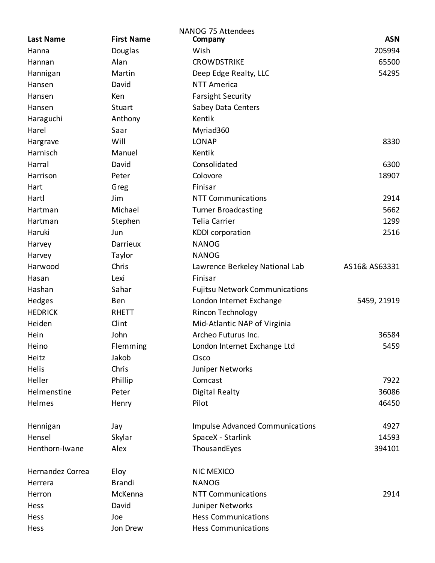| <b>ASN</b><br><b>Last Name</b><br><b>First Name</b><br>Company<br>Wish<br>205994<br>Hanna<br>Douglas<br>Alan<br>65500<br><b>CROWDSTRIKE</b><br>Hannan<br>Hannigan<br>Martin<br>Deep Edge Realty, LLC<br>54295<br>Hansen<br>David<br><b>NTT America</b><br>Ken<br><b>Farsight Security</b><br>Hansen<br>Hansen<br>Stuart<br>Sabey Data Centers<br>Kentik<br>Haraguchi<br>Anthony<br>Harel<br>Saar<br>Myriad360<br>Will<br><b>LONAP</b><br>8330<br>Hargrave<br>Harnisch<br>Manuel<br>Kentik<br>Consolidated<br>6300<br>Harral<br>David |  |
|--------------------------------------------------------------------------------------------------------------------------------------------------------------------------------------------------------------------------------------------------------------------------------------------------------------------------------------------------------------------------------------------------------------------------------------------------------------------------------------------------------------------------------------|--|
|                                                                                                                                                                                                                                                                                                                                                                                                                                                                                                                                      |  |
|                                                                                                                                                                                                                                                                                                                                                                                                                                                                                                                                      |  |
|                                                                                                                                                                                                                                                                                                                                                                                                                                                                                                                                      |  |
|                                                                                                                                                                                                                                                                                                                                                                                                                                                                                                                                      |  |
|                                                                                                                                                                                                                                                                                                                                                                                                                                                                                                                                      |  |
|                                                                                                                                                                                                                                                                                                                                                                                                                                                                                                                                      |  |
|                                                                                                                                                                                                                                                                                                                                                                                                                                                                                                                                      |  |
|                                                                                                                                                                                                                                                                                                                                                                                                                                                                                                                                      |  |
|                                                                                                                                                                                                                                                                                                                                                                                                                                                                                                                                      |  |
|                                                                                                                                                                                                                                                                                                                                                                                                                                                                                                                                      |  |
|                                                                                                                                                                                                                                                                                                                                                                                                                                                                                                                                      |  |
|                                                                                                                                                                                                                                                                                                                                                                                                                                                                                                                                      |  |
| Harrison<br>Colovore<br>18907<br>Peter                                                                                                                                                                                                                                                                                                                                                                                                                                                                                               |  |
| Finisar<br>Hart<br>Greg                                                                                                                                                                                                                                                                                                                                                                                                                                                                                                              |  |
| 2914<br>Hartl<br>Jim<br><b>NTT Communications</b>                                                                                                                                                                                                                                                                                                                                                                                                                                                                                    |  |
| Michael<br><b>Turner Broadcasting</b><br>5662<br>Hartman                                                                                                                                                                                                                                                                                                                                                                                                                                                                             |  |
| <b>Telia Carrier</b><br>1299<br>Hartman<br>Stephen                                                                                                                                                                                                                                                                                                                                                                                                                                                                                   |  |
| 2516<br>Haruki<br>Jun<br><b>KDDI</b> corporation                                                                                                                                                                                                                                                                                                                                                                                                                                                                                     |  |
| Darrieux<br><b>NANOG</b><br>Harvey                                                                                                                                                                                                                                                                                                                                                                                                                                                                                                   |  |
| <b>NANOG</b><br>Harvey<br>Taylor                                                                                                                                                                                                                                                                                                                                                                                                                                                                                                     |  |
| Chris<br>Harwood<br>Lawrence Berkeley National Lab<br>AS16& AS63331                                                                                                                                                                                                                                                                                                                                                                                                                                                                  |  |
| Hasan<br>Lexi<br>Finisar                                                                                                                                                                                                                                                                                                                                                                                                                                                                                                             |  |
| Hashan<br>Sahar<br><b>Fujitsu Network Communications</b>                                                                                                                                                                                                                                                                                                                                                                                                                                                                             |  |
| Hedges<br>London Internet Exchange<br>5459, 21919<br>Ben                                                                                                                                                                                                                                                                                                                                                                                                                                                                             |  |
| <b>HEDRICK</b><br><b>RHETT</b><br>Rincon Technology                                                                                                                                                                                                                                                                                                                                                                                                                                                                                  |  |
| Clint<br>Heiden<br>Mid-Atlantic NAP of Virginia                                                                                                                                                                                                                                                                                                                                                                                                                                                                                      |  |
| John<br>Hein<br>Archeo Futurus Inc.<br>36584                                                                                                                                                                                                                                                                                                                                                                                                                                                                                         |  |
| Flemming<br>5459<br>London Internet Exchange Ltd<br>Heino                                                                                                                                                                                                                                                                                                                                                                                                                                                                            |  |
| Jakob<br>Heitz<br>Cisco                                                                                                                                                                                                                                                                                                                                                                                                                                                                                                              |  |
| Helis<br>Chris<br>Juniper Networks                                                                                                                                                                                                                                                                                                                                                                                                                                                                                                   |  |
| Heller<br>Comcast<br>7922<br>Phillip                                                                                                                                                                                                                                                                                                                                                                                                                                                                                                 |  |
| Helmenstine<br><b>Digital Realty</b><br>36086<br>Peter                                                                                                                                                                                                                                                                                                                                                                                                                                                                               |  |
| Helmes<br>Pilot<br>46450<br>Henry                                                                                                                                                                                                                                                                                                                                                                                                                                                                                                    |  |
|                                                                                                                                                                                                                                                                                                                                                                                                                                                                                                                                      |  |
| Impulse Advanced Communications<br>4927<br>Hennigan<br>Jay                                                                                                                                                                                                                                                                                                                                                                                                                                                                           |  |
| Hensel<br>Skylar<br>SpaceX - Starlink<br>14593                                                                                                                                                                                                                                                                                                                                                                                                                                                                                       |  |
| Henthorn-Iwane<br>Alex<br>ThousandEyes<br>394101                                                                                                                                                                                                                                                                                                                                                                                                                                                                                     |  |
|                                                                                                                                                                                                                                                                                                                                                                                                                                                                                                                                      |  |
| Hernandez Correa<br>Eloy<br><b>NIC MEXICO</b>                                                                                                                                                                                                                                                                                                                                                                                                                                                                                        |  |
| <b>Brandi</b><br><b>NANOG</b><br>Herrera                                                                                                                                                                                                                                                                                                                                                                                                                                                                                             |  |
| <b>NTT Communications</b><br>2914<br>Herron<br>McKenna                                                                                                                                                                                                                                                                                                                                                                                                                                                                               |  |
| Juniper Networks<br>David<br>Hess                                                                                                                                                                                                                                                                                                                                                                                                                                                                                                    |  |
| <b>Hess Communications</b><br>Hess<br>Joe                                                                                                                                                                                                                                                                                                                                                                                                                                                                                            |  |
| Jon Drew<br><b>Hess Communications</b><br>Hess                                                                                                                                                                                                                                                                                                                                                                                                                                                                                       |  |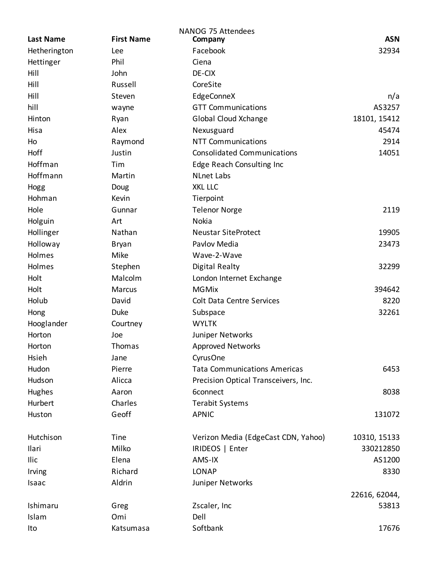|                  |                   | NANOG 75 Attendees                   |               |
|------------------|-------------------|--------------------------------------|---------------|
| <b>Last Name</b> | <b>First Name</b> | Company                              | <b>ASN</b>    |
| Hetherington     | Lee               | Facebook                             | 32934         |
| Hettinger        | Phil              | Ciena                                |               |
| Hill             | John              | DE-CIX                               |               |
| Hill             | Russell           | CoreSite                             |               |
| Hill             | Steven            | EdgeConneX                           | n/a           |
| hill             | wayne             | <b>GTT Communications</b>            | AS3257        |
| Hinton           | Ryan              | <b>Global Cloud Xchange</b>          | 18101, 15412  |
| Hisa             | Alex              | Nexusguard                           | 45474         |
| Ho               | Raymond           | <b>NTT Communications</b>            | 2914          |
| Hoff             | Justin            | <b>Consolidated Communications</b>   | 14051         |
| Hoffman          | Tim               | Edge Reach Consulting Inc            |               |
| Hoffmann         | Martin            | <b>NLnet Labs</b>                    |               |
| Hogg             | Doug              | <b>XKL LLC</b>                       |               |
| Hohman           | Kevin             | Tierpoint                            |               |
| Hole             | Gunnar            | <b>Telenor Norge</b>                 | 2119          |
| Holguin          | Art               | Nokia                                |               |
| Hollinger        | Nathan            | <b>Neustar SiteProtect</b>           | 19905         |
| Holloway         | Bryan             | Pavlov Media                         | 23473         |
| Holmes           | Mike              | Wave-2-Wave                          |               |
| Holmes           | Stephen           | <b>Digital Realty</b>                | 32299         |
| Holt             | Malcolm           | London Internet Exchange             |               |
| Holt             | Marcus            | <b>MGMix</b>                         | 394642        |
| Holub            | David             | <b>Colt Data Centre Services</b>     | 8220          |
| Hong             | <b>Duke</b>       | Subspace                             | 32261         |
| Hooglander       | Courtney          | <b>WYLTK</b>                         |               |
| Horton           | Joe               | Juniper Networks                     |               |
| Horton           | Thomas            | Approved Networks                    |               |
| Hsieh            | Jane              | CyrusOne                             |               |
| Hudon            | Pierre            | <b>Tata Communications Americas</b>  | 6453          |
| Hudson           | Alicca            | Precision Optical Transceivers, Inc. |               |
| Hughes           | Aaron             | 6connect                             | 8038          |
| Hurbert          | Charles           | <b>Terabit Systems</b>               |               |
| Huston           | Geoff             | <b>APNIC</b>                         | 131072        |
|                  |                   |                                      |               |
| Hutchison        | Tine              | Verizon Media (EdgeCast CDN, Yahoo)  | 10310, 15133  |
| Ilari            | Milko             | IRIDEOS   Enter                      | 330212850     |
| Ilic             | Elena             | AMS-IX                               | AS1200        |
| Irving           | Richard           | <b>LONAP</b>                         | 8330          |
| Isaac            | Aldrin            | Juniper Networks                     |               |
|                  |                   |                                      | 22616, 62044, |
| Ishimaru         | Greg              | Zscaler, Inc                         | 53813         |
| Islam            | Omi               | Dell                                 |               |
| Ito              | Katsumasa         | Softbank                             | 17676         |
|                  |                   |                                      |               |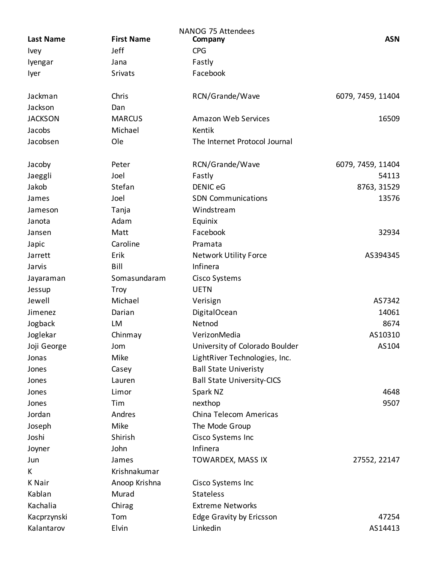|                  |                   | <b>NANOG 75 Attendees</b>         |                   |
|------------------|-------------------|-----------------------------------|-------------------|
| <b>Last Name</b> | <b>First Name</b> | Company                           | <b>ASN</b>        |
| <b>Ivey</b>      | Jeff              | <b>CPG</b>                        |                   |
| Iyengar          | Jana              | Fastly                            |                   |
| lyer             | <b>Srivats</b>    | Facebook                          |                   |
| Jackman          | Chris             | RCN/Grande/Wave                   | 6079, 7459, 11404 |
| Jackson          | Dan               |                                   |                   |
| <b>JACKSON</b>   | <b>MARCUS</b>     | <b>Amazon Web Services</b>        | 16509             |
| Jacobs           | Michael           | Kentik                            |                   |
| Jacobsen         | Ole               | The Internet Protocol Journal     |                   |
| Jacoby           | Peter             | RCN/Grande/Wave                   | 6079, 7459, 11404 |
| Jaeggli          | Joel              | Fastly                            | 54113             |
| Jakob            | Stefan            | <b>DENIC eG</b>                   | 8763, 31529       |
| James            | Joel              | <b>SDN Communications</b>         | 13576             |
| Jameson          | Tanja             | Windstream                        |                   |
| Janota           | Adam              | Equinix                           |                   |
| Jansen           | Matt              | Facebook                          | 32934             |
| Japic            | Caroline          | Pramata                           |                   |
| Jarrett          | Erik              | <b>Network Utility Force</b>      | AS394345          |
| Jarvis           | Bill              | Infinera                          |                   |
| Jayaraman        | Somasundaram      | Cisco Systems                     |                   |
| Jessup           | <b>Troy</b>       | <b>UETN</b>                       |                   |
| Jewell           | Michael           | Verisign                          | AS7342            |
| Jimenez          | Darian            | <b>DigitalOcean</b>               | 14061             |
| Jogback          | LM                | Netnod                            | 8674              |
| Joglekar         | Chinmay           | VerizonMedia                      | AS10310           |
| Joji George      | Jom               | University of Colorado Boulder    | AS104             |
| Jonas            | Mike              | LightRiver Technologies, Inc.     |                   |
| Jones            | Casey             | <b>Ball State Univeristy</b>      |                   |
| Jones            | Lauren            | <b>Ball State University-CICS</b> |                   |
| Jones            | Limor             | Spark NZ                          | 4648              |
| Jones            | Tim               | nexthop                           | 9507              |
| Jordan           | Andres            | China Telecom Americas            |                   |
| Joseph           | Mike              | The Mode Group                    |                   |
| Joshi            | Shirish           | Cisco Systems Inc                 |                   |
| Joyner           | John              | Infinera                          |                   |
| Jun              | James             | TOWARDEX, MASS IX                 | 27552, 22147      |
| K                | Krishnakumar      |                                   |                   |
| <b>K</b> Nair    | Anoop Krishna     | Cisco Systems Inc                 |                   |
| Kablan           | Murad             | <b>Stateless</b>                  |                   |
| Kachalia         | Chirag            | <b>Extreme Networks</b>           |                   |
| Kacprzynski      | Tom               | Edge Gravity by Ericsson          | 47254             |
| Kalantarov       | Elvin             | Linkedin                          | AS14413           |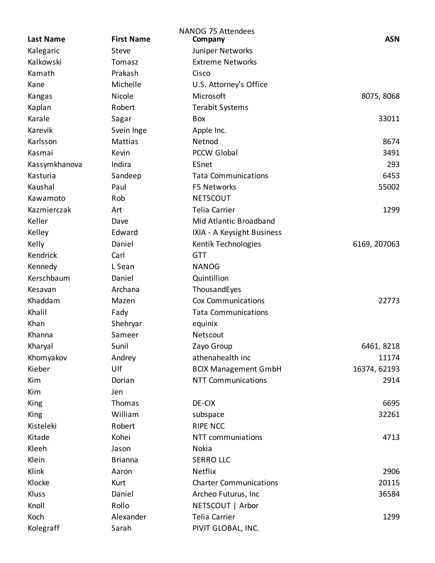| <b>Last Name</b> | <b>First Name</b> | <b>NANOG 75 Attendees</b><br>Company | <b>ASN</b>   |
|------------------|-------------------|--------------------------------------|--------------|
| Kalegaric        | Steve             | Juniper Networks                     |              |
| Kalkowski        | Tomasz            | <b>Extreme Networks</b>              |              |
| Kamath           | Prakash           | Cisco                                |              |
| Kane             | Michelle          | U.S. Attorney's Office               |              |
| Kangas           | Nicole            | Microsoft                            | 8075, 8068   |
| Kaplan           | Robert            | <b>Terabit Systems</b>               |              |
| Karale           | Sagar             | Box                                  | 33011        |
| Karevik          | Svein Inge        | Apple Inc.                           |              |
| Karlsson         | <b>Mattias</b>    | Netnod                               | 8674         |
| Kasmai           | Kevin             | <b>PCCW Global</b>                   | 3491         |
| Kassymkhanova    | Indira            | ESnet                                | 293          |
| Kasturia         | Sandeep           | <b>Tata Communications</b>           | 6453         |
| Kaushal          | Paul              | F5 Networks                          | 55002        |
| Kawamoto         | Rob               | <b>NETSCOUT</b>                      |              |
| Kazmierczak      | Art               | Telia Carrier                        | 1299         |
| Keller           | Dave              | Mid Atlantic Broadband               |              |
| Kelley           | Edward            | IXIA - A Keysight Business           |              |
| Kelly            | Daniel            | Kentik Technologies                  | 6169, 207063 |
| Kendrick         | Carl              | <b>GTT</b>                           |              |
| Kennedy          | L Sean            | <b>NANOG</b>                         |              |
| Kerschbaum       | Daniel            | Quintillion                          |              |
| Kesavan          | Archana           | ThousandEyes                         |              |
| Khaddam          | Mazen             | <b>Cox Communications</b>            | 22773        |
| Khalil           | Fady              | <b>Tata Communications</b>           |              |
| Khan             | Shehryar          | equinix                              |              |
| Khanna           | Sameer            | Netscout                             |              |
| Kharyal          | Sunil             | Zayo Group                           | 6461, 8218   |
| Khomyakov        | Andrey            | athenahealth inc                     | 11174        |
| Kieber           | Ulf               | <b>BCIX Management GmbH</b>          | 16374, 62193 |
| Kim              | Dorian            | <b>NTT Communications</b>            | 2914         |
| Kim              | Jen               |                                      |              |
| King             | Thomas            | DE-CIX                               | 6695         |
| King             | William           | subspace                             | 32261        |
| Kisteleki        | Robert            | <b>RIPE NCC</b>                      |              |
| Kitade           | Kohei             | NTT communiations                    | 4713         |
| Kleeh            | Jason             | Nokia                                |              |
| Klein            | <b>Brianna</b>    | <b>SERRO LLC</b>                     |              |
| Klink            | Aaron             | Netflix                              | 2906         |
| Klocke           | Kurt              | <b>Charter Communications</b>        | 20115        |
| Kluss            | Daniel            | Archeo Futurus, Inc                  | 36584        |
| Knoll            | Rollo             | NETSCOUT   Arbor                     |              |
| Koch             | Alexander         | Telia Carrier                        | 1299         |
| Kolegraff        | Sarah             | PIVIT GLOBAL, INC.                   |              |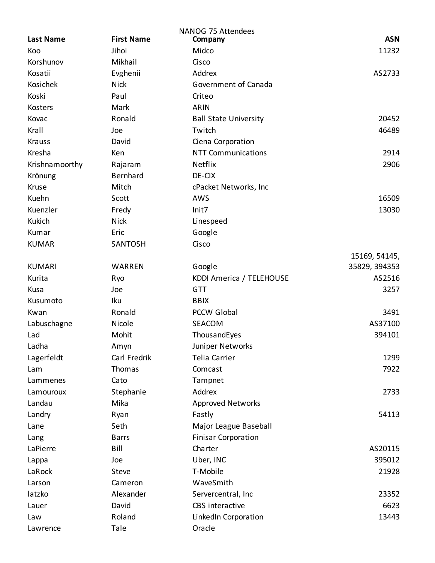|                  |                   | NANOG 75 Attendees           |               |
|------------------|-------------------|------------------------------|---------------|
| <b>Last Name</b> | <b>First Name</b> | Company                      | <b>ASN</b>    |
| Koo              | Jihoi             | Midco                        | 11232         |
| Korshunov        | Mikhail           | Cisco                        |               |
| Kosatii          | Evghenii          | Addrex                       | AS2733        |
| Kosichek         | <b>Nick</b>       | Government of Canada         |               |
| Koski            | Paul              | Criteo                       |               |
| Kosters          | Mark              | <b>ARIN</b>                  |               |
| Kovac            | Ronald            | <b>Ball State University</b> | 20452         |
| Krall            | Joe               | Twitch                       | 46489         |
| <b>Krauss</b>    | David             | Ciena Corporation            |               |
| Kresha           | Ken               | <b>NTT Communications</b>    | 2914          |
| Krishnamoorthy   | Rajaram           | Netflix                      | 2906          |
| Krönung          | Bernhard          | DE-CIX                       |               |
| Kruse            | Mitch             | cPacket Networks, Inc        |               |
| Kuehn            | Scott             | AWS                          | 16509         |
| Kuenzler         | Fredy             | Init7                        | 13030         |
| Kukich           | <b>Nick</b>       | Linespeed                    |               |
| Kumar            | Eric              | Google                       |               |
| <b>KUMAR</b>     | SANTOSH           | Cisco                        |               |
|                  |                   |                              | 15169, 54145, |
| <b>KUMARI</b>    | WARREN            | Google                       | 35829, 394353 |
| Kurita           | Ryo               | KDDI America / TELEHOUSE     | AS2516        |
| Kusa             | Joe               | <b>GTT</b>                   | 3257          |
| Kusumoto         | Iku               | <b>BBIX</b>                  |               |
| Kwan             | Ronald            | <b>PCCW Global</b>           | 3491          |
| Labuschagne      | Nicole            | <b>SEACOM</b>                | AS37100       |
| Lad              | Mohit             | ThousandEyes                 | 394101        |
| Ladha            | Amyn              | Juniper Networks             |               |
| Lagerfeldt       | Carl Fredrik      | <b>Telia Carrier</b>         | 1299          |
| Lam              | Thomas            | Comcast                      | 7922          |
| Lammenes         | Cato              | Tampnet                      |               |
| Lamouroux        | Stephanie         | Addrex                       | 2733          |
| Landau           | Mika              | <b>Approved Networks</b>     |               |
| Landry           | Ryan              | Fastly                       | 54113         |
| Lane             | Seth              | Major League Baseball        |               |
| Lang             | <b>Barrs</b>      | <b>Finisar Corporation</b>   |               |
| LaPierre         | Bill              | Charter                      | AS20115       |
| Lappa            | Joe               | Uber, INC                    | 395012        |
| LaRock           | Steve             | T-Mobile                     | 21928         |
|                  | Cameron           | WaveSmith                    |               |
| Larson           | Alexander         |                              | 23352         |
| latzko           |                   | Servercentral, Inc           |               |
| Lauer            | David             | CBS interactive              | 6623          |
| Law              | Roland            | LinkedIn Corporation         | 13443         |
| Lawrence         | Tale              | Oracle                       |               |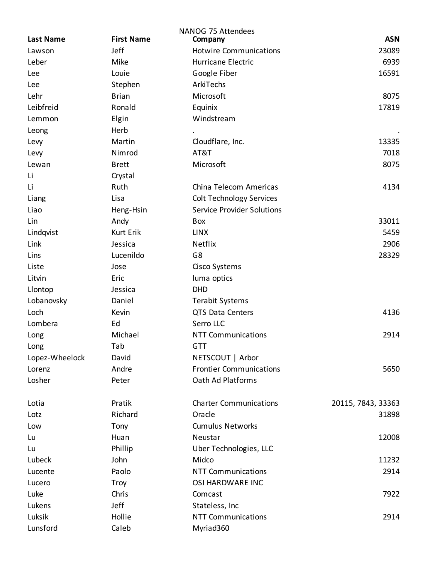| <b>Last Name</b> | <b>First Name</b> | <b>NANOG 75 Attendees</b><br>Company | <b>ASN</b>         |
|------------------|-------------------|--------------------------------------|--------------------|
| Lawson           | Jeff              | <b>Hotwire Communications</b>        | 23089              |
| Leber            | Mike              | <b>Hurricane Electric</b>            | 6939               |
| Lee              | Louie             | Google Fiber                         | 16591              |
| Lee              | Stephen           | ArkiTechs                            |                    |
| Lehr             | <b>Brian</b>      | Microsoft                            | 8075               |
| Leibfreid        | Ronald            | Equinix                              | 17819              |
| Lemmon           | Elgin             | Windstream                           |                    |
| Leong            | Herb              |                                      |                    |
| Levy             | Martin            | Cloudflare, Inc.                     | 13335              |
| Levy             | Nimrod            | AT&T                                 | 7018               |
| Lewan            | <b>Brett</b>      | Microsoft                            | 8075               |
| Li               | Crystal           |                                      |                    |
| Li               | Ruth              | China Telecom Americas               | 4134               |
| Liang            | Lisa              | <b>Colt Technology Services</b>      |                    |
| Liao             | Heng-Hsin         | <b>Service Provider Solutions</b>    |                    |
| Lin              | Andy              | Box                                  | 33011              |
| Lindqvist        | <b>Kurt Erik</b>  | <b>LINX</b>                          | 5459               |
| Link             | Jessica           | Netflix                              | 2906               |
| Lins             | Lucenildo         | G8                                   | 28329              |
| Liste            | Jose              | Cisco Systems                        |                    |
| Litvin           | Eric              | luma optics                          |                    |
| Llontop          | Jessica           | <b>DHD</b>                           |                    |
| Lobanovsky       | Daniel            | <b>Terabit Systems</b>               |                    |
| Loch             | Kevin             | QTS Data Centers                     | 4136               |
| Lombera          | Ed                | Serro LLC                            |                    |
| Long             | Michael           | <b>NTT Communications</b>            | 2914               |
| Long             | Tab               | <b>GTT</b>                           |                    |
| Lopez-Wheelock   | David             | NETSCOUT   Arbor                     |                    |
| Lorenz           | Andre             | <b>Frontier Communications</b>       | 5650               |
| Losher           | Peter             | Oath Ad Platforms                    |                    |
| Lotia            | Pratik            | <b>Charter Communications</b>        | 20115, 7843, 33363 |
| Lotz             | Richard           | Oracle                               | 31898              |
| Low              | Tony              | <b>Cumulus Networks</b>              |                    |
| Lu               | Huan              | Neustar                              | 12008              |
| Lu               | Phillip           | Uber Technologies, LLC               |                    |
| Lubeck           | John              | Midco                                | 11232              |
| Lucente          | Paolo             | <b>NTT Communications</b>            | 2914               |
| Lucero           | <b>Troy</b>       | OSI HARDWARE INC                     |                    |
| Luke             | Chris             | Comcast                              | 7922               |
| Lukens           | Jeff              | Stateless, Inc                       |                    |
| Luksik           | Hollie            | <b>NTT Communications</b>            | 2914               |
| Lunsford         | Caleb             | Myriad360                            |                    |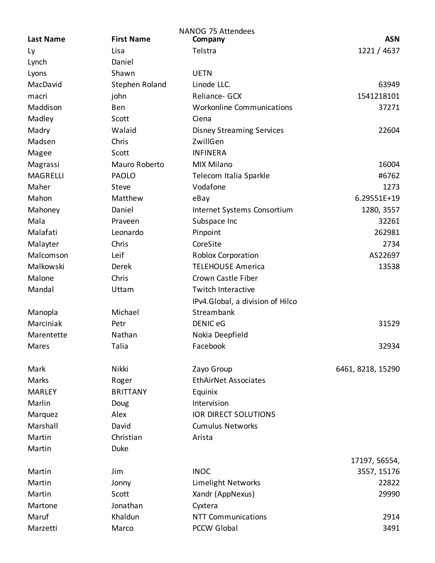| <b>Last Name</b> | <b>First Name</b>      | NANOG 75 Attendees<br>Company                | <b>ASN</b>        |
|------------------|------------------------|----------------------------------------------|-------------------|
| Ly               | Lisa                   | Telstra                                      | 1221 / 4637       |
| Lynch            | Daniel                 |                                              |                   |
| Lyons            | Shawn                  | <b>UETN</b>                                  |                   |
| MacDavid         | Stephen Roland         | Linode LLC.                                  | 63949             |
| macri            |                        | Reliance- GCX                                | 1541218101        |
| Maddison         | john<br>Ben            | <b>Workonline Communications</b>             | 37271             |
|                  | Scott                  | Ciena                                        |                   |
| Madley           | Walaid                 |                                              | 22604             |
| Madry<br>Madsen  | Chris                  | <b>Disney Streaming Services</b><br>ZwillGen |                   |
|                  |                        |                                              |                   |
| Magee            | Scott<br>Mauro Roberto | <b>INFINERA</b>                              |                   |
| Magrassi         |                        | <b>MIX Milano</b>                            | 16004             |
| <b>MAGRELLI</b>  | <b>PAOLO</b>           | Telecom Italia Sparkle                       | #6762             |
| Maher            | Steve                  | Vodafone                                     | 1273              |
| Mahon            | Matthew                | eBay                                         | 6.29551E+19       |
| Mahoney          | Daniel                 | Internet Systems Consortium                  | 1280, 3557        |
| Mala             | Praveen                | Subspace Inc                                 | 32261             |
| Malafati         | Leonardo               | Pinpoint                                     | 262981            |
| Malayter         | Chris                  | CoreSite                                     | 2734              |
| Malcomson        | Leif                   | Roblox Corporation                           | AS22697           |
| Malkowski        | Derek                  | <b>TELEHOUSE America</b>                     | 13538             |
| Malone           | Chris                  | Crown Castle Fiber                           |                   |
| Mandal           | Uttam                  | Twitch Interactive                           |                   |
|                  |                        | IPv4.Global, a division of Hilco             |                   |
| Manopla          | Michael                | Streambank                                   |                   |
| Marciniak        | Petr                   | <b>DENIC eG</b>                              | 31529             |
| Marentette       | Nathan                 | Nokia Deepfield                              |                   |
| Mares            | Talia                  | Facebook                                     | 32934             |
|                  |                        |                                              |                   |
| Mark             | Nikki                  | Zayo Group                                   | 6461, 8218, 15290 |
| Marks            | Roger                  | <b>EthAirNet Associates</b>                  |                   |
| <b>MARLEY</b>    | <b>BRITTANY</b>        | Equinix                                      |                   |
| Marlin           | Doug                   | Intervision                                  |                   |
| Marquez          | Alex                   | <b>IOR DIRECT SOLUTIONS</b>                  |                   |
| Marshall         | David                  | <b>Cumulus Networks</b>                      |                   |
| Martin           | Christian              | Arista                                       |                   |
| Martin           | <b>Duke</b>            |                                              |                   |
|                  |                        |                                              | 17197, 56554,     |
| Martin           | Jim                    | <b>INOC</b>                                  | 3557, 15176       |
| Martin           | Jonny                  | Limelight Networks                           | 22822             |
| Martin           | Scott                  | Xandr (AppNexus)                             | 29990             |
| Martone          | Jonathan               | Cyxtera                                      |                   |
| Maruf            | Khaldun                | <b>NTT Communications</b>                    | 2914              |
| Marzetti         | Marco                  | <b>PCCW Global</b>                           | 3491              |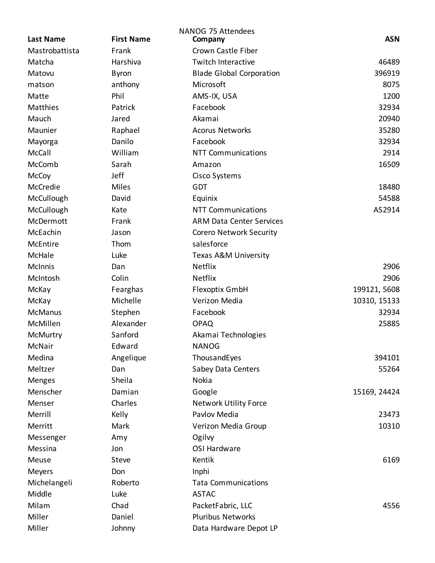| <b>Last Name</b> | <b>First Name</b> | NANOG 75 Attendees<br>Company   | <b>ASN</b>   |
|------------------|-------------------|---------------------------------|--------------|
| Mastrobattista   | Frank             | Crown Castle Fiber              |              |
| Matcha           | Harshiva          | <b>Twitch Interactive</b>       | 46489        |
| Matovu           | <b>Byron</b>      | <b>Blade Global Corporation</b> | 396919       |
| matson           | anthony           | Microsoft                       | 8075         |
| Matte            | Phil              | AMS-IX, USA                     | 1200         |
| Matthies         | Patrick           | Facebook                        | 32934        |
| Mauch            | Jared             | Akamai                          | 20940        |
| Maunier          | Raphael           | <b>Acorus Networks</b>          | 35280        |
| Mayorga          | Danilo            | Facebook                        | 32934        |
| McCall           | William           | <b>NTT Communications</b>       | 2914         |
| McComb           | Sarah             | Amazon                          | 16509        |
| McCoy            | Jeff              | Cisco Systems                   |              |
| McCredie         | Miles             | GDT                             | 18480        |
| McCullough       | David             | Equinix                         | 54588        |
| McCullough       | Kate              | <b>NTT Communications</b>       | AS2914       |
| McDermott        | Frank             | <b>ARM Data Center Services</b> |              |
| McEachin         | Jason             | <b>Corero Network Security</b>  |              |
| McEntire         | Thom              | salesforce                      |              |
| McHale           | Luke              | Texas A&M University            |              |
| <b>McInnis</b>   | Dan               | Netflix                         | 2906         |
| McIntosh         | Colin             | <b>Netflix</b>                  | 2906         |
| McKay            | Fearghas          | Flexoptix GmbH                  | 199121, 5608 |
| McKay            | Michelle          | Verizon Media                   | 10310, 15133 |
| <b>McManus</b>   | Stephen           | Facebook                        | 32934        |
| McMillen         | Alexander         | <b>OPAQ</b>                     | 25885        |
| <b>McMurtry</b>  | Sanford           | Akamai Technologies             |              |
| McNair           | Edward            | <b>NANOG</b>                    |              |
| Medina           | Angelique         | ThousandEyes                    | 394101       |
| Meltzer          | Dan               | Sabey Data Centers              | 55264        |
| <b>Menges</b>    | Sheila            | Nokia                           |              |
| Menscher         | Damian            | Google                          | 15169, 24424 |
| Menser           | Charles           | <b>Network Utility Force</b>    |              |
| Merrill          | Kelly             | Pavlov Media                    | 23473        |
| Merritt          | Mark              | Verizon Media Group             | 10310        |
| Messenger        | Amy               | Ogilvy                          |              |
| Messina          | Jon               | <b>OSI Hardware</b>             |              |
| Meuse            | Steve             | Kentik                          | 6169         |
| Meyers           | Don               | Inphi                           |              |
| Michelangeli     | Roberto           | <b>Tata Communications</b>      |              |
| Middle           | Luke              | <b>ASTAC</b>                    |              |
| Milam            | Chad              | PacketFabric, LLC               | 4556         |
| Miller           | Daniel            | <b>Pluribus Networks</b>        |              |
| Miller           | Johnny            | Data Hardware Depot LP          |              |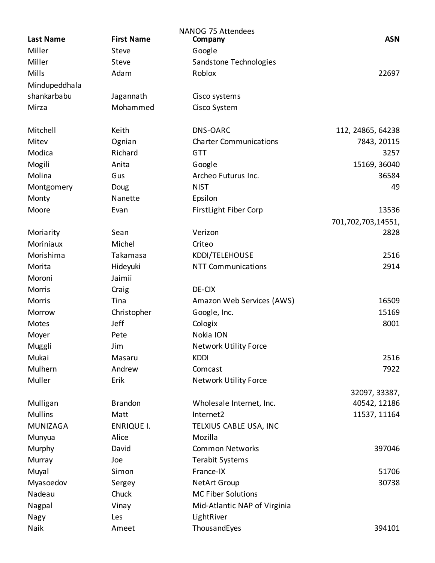| Miller<br>Steve<br>Google<br>Miller<br>Steve<br>Sandstone Technologies<br><b>Mills</b><br>Adam<br>Roblox<br>22697<br>Mindupeddhala<br>shankarbabu<br>Jagannath<br>Cisco systems<br>Mirza<br>Mohammed<br>Cisco System<br>Mitchell<br>Keith<br>DNS-OARC<br>112, 24865, 64238<br>Mitev<br><b>Charter Communications</b><br>Ognian<br>7843, 20115<br>Richard<br>Modica<br>3257<br><b>GTT</b><br>Mogili<br>Anita<br>15169, 36040<br>Google<br>Molina<br>Archeo Futurus Inc.<br>36584<br>Gus<br><b>NIST</b><br>49<br>Montgomery<br>Doug<br>Nanette<br>Monty<br>Epsilon<br><b>FirstLight Fiber Corp</b><br>13536<br>Moore<br>Evan<br>701,702,703,14551,<br>Sean<br>Verizon<br>2828<br>Moriarity<br>Moriniaux<br>Michel<br>Criteo<br>Morishima<br>Takamasa<br>KDDI/TELEHOUSE<br>2516<br>Morita<br>Hideyuki<br><b>NTT Communications</b><br>2914<br>Jaimii<br>Moroni<br>DE-CIX<br><b>Morris</b><br>Craig<br><b>Morris</b><br>Tina<br>16509<br>Amazon Web Services (AWS)<br>Google, Inc.<br>15169<br>Morrow<br>Christopher<br>8001<br>Jeff<br>Motes<br>Cologix<br>Nokia ION<br>Moyer<br>Pete<br>Muggli<br>Jim<br><b>Network Utility Force</b><br>Mukai<br>Masaru<br><b>KDDI</b><br>Mulhern<br>Andrew<br>Comcast<br>7922<br>Muller<br>Erik<br><b>Network Utility Force</b><br>32097, 33387,<br><b>Brandon</b><br>40542, 12186<br>Mulligan<br>Wholesale Internet, Inc.<br><b>Mullins</b><br>Matt<br>Internet2<br>11537, 11164<br>MUNIZAGA<br><b>ENRIQUE I.</b><br>TELXIUS CABLE USA, INC<br>Mozilla<br>Alice<br>Munyua<br>David<br><b>Common Networks</b><br>397046<br>Murphy<br>Murray<br><b>Terabit Systems</b><br>Joe |                  |                   | NANOG 75 Attendees |            |
|--------------------------------------------------------------------------------------------------------------------------------------------------------------------------------------------------------------------------------------------------------------------------------------------------------------------------------------------------------------------------------------------------------------------------------------------------------------------------------------------------------------------------------------------------------------------------------------------------------------------------------------------------------------------------------------------------------------------------------------------------------------------------------------------------------------------------------------------------------------------------------------------------------------------------------------------------------------------------------------------------------------------------------------------------------------------------------------------------------------------------------------------------------------------------------------------------------------------------------------------------------------------------------------------------------------------------------------------------------------------------------------------------------------------------------------------------------------------------------------------------------------------------------------------------------------------------------------------------------------|------------------|-------------------|--------------------|------------|
|                                                                                                                                                                                                                                                                                                                                                                                                                                                                                                                                                                                                                                                                                                                                                                                                                                                                                                                                                                                                                                                                                                                                                                                                                                                                                                                                                                                                                                                                                                                                                                                                              | <b>Last Name</b> | <b>First Name</b> | Company            | <b>ASN</b> |
|                                                                                                                                                                                                                                                                                                                                                                                                                                                                                                                                                                                                                                                                                                                                                                                                                                                                                                                                                                                                                                                                                                                                                                                                                                                                                                                                                                                                                                                                                                                                                                                                              |                  |                   |                    |            |
|                                                                                                                                                                                                                                                                                                                                                                                                                                                                                                                                                                                                                                                                                                                                                                                                                                                                                                                                                                                                                                                                                                                                                                                                                                                                                                                                                                                                                                                                                                                                                                                                              |                  |                   |                    |            |
|                                                                                                                                                                                                                                                                                                                                                                                                                                                                                                                                                                                                                                                                                                                                                                                                                                                                                                                                                                                                                                                                                                                                                                                                                                                                                                                                                                                                                                                                                                                                                                                                              |                  |                   |                    |            |
|                                                                                                                                                                                                                                                                                                                                                                                                                                                                                                                                                                                                                                                                                                                                                                                                                                                                                                                                                                                                                                                                                                                                                                                                                                                                                                                                                                                                                                                                                                                                                                                                              |                  |                   |                    |            |
|                                                                                                                                                                                                                                                                                                                                                                                                                                                                                                                                                                                                                                                                                                                                                                                                                                                                                                                                                                                                                                                                                                                                                                                                                                                                                                                                                                                                                                                                                                                                                                                                              |                  |                   |                    |            |
|                                                                                                                                                                                                                                                                                                                                                                                                                                                                                                                                                                                                                                                                                                                                                                                                                                                                                                                                                                                                                                                                                                                                                                                                                                                                                                                                                                                                                                                                                                                                                                                                              |                  |                   |                    |            |
|                                                                                                                                                                                                                                                                                                                                                                                                                                                                                                                                                                                                                                                                                                                                                                                                                                                                                                                                                                                                                                                                                                                                                                                                                                                                                                                                                                                                                                                                                                                                                                                                              |                  |                   |                    |            |
|                                                                                                                                                                                                                                                                                                                                                                                                                                                                                                                                                                                                                                                                                                                                                                                                                                                                                                                                                                                                                                                                                                                                                                                                                                                                                                                                                                                                                                                                                                                                                                                                              |                  |                   |                    |            |
|                                                                                                                                                                                                                                                                                                                                                                                                                                                                                                                                                                                                                                                                                                                                                                                                                                                                                                                                                                                                                                                                                                                                                                                                                                                                                                                                                                                                                                                                                                                                                                                                              |                  |                   |                    |            |
|                                                                                                                                                                                                                                                                                                                                                                                                                                                                                                                                                                                                                                                                                                                                                                                                                                                                                                                                                                                                                                                                                                                                                                                                                                                                                                                                                                                                                                                                                                                                                                                                              |                  |                   |                    |            |
| 2516                                                                                                                                                                                                                                                                                                                                                                                                                                                                                                                                                                                                                                                                                                                                                                                                                                                                                                                                                                                                                                                                                                                                                                                                                                                                                                                                                                                                                                                                                                                                                                                                         |                  |                   |                    |            |
|                                                                                                                                                                                                                                                                                                                                                                                                                                                                                                                                                                                                                                                                                                                                                                                                                                                                                                                                                                                                                                                                                                                                                                                                                                                                                                                                                                                                                                                                                                                                                                                                              |                  |                   |                    |            |
|                                                                                                                                                                                                                                                                                                                                                                                                                                                                                                                                                                                                                                                                                                                                                                                                                                                                                                                                                                                                                                                                                                                                                                                                                                                                                                                                                                                                                                                                                                                                                                                                              |                  |                   |                    |            |
|                                                                                                                                                                                                                                                                                                                                                                                                                                                                                                                                                                                                                                                                                                                                                                                                                                                                                                                                                                                                                                                                                                                                                                                                                                                                                                                                                                                                                                                                                                                                                                                                              |                  |                   |                    |            |
|                                                                                                                                                                                                                                                                                                                                                                                                                                                                                                                                                                                                                                                                                                                                                                                                                                                                                                                                                                                                                                                                                                                                                                                                                                                                                                                                                                                                                                                                                                                                                                                                              |                  |                   |                    |            |
|                                                                                                                                                                                                                                                                                                                                                                                                                                                                                                                                                                                                                                                                                                                                                                                                                                                                                                                                                                                                                                                                                                                                                                                                                                                                                                                                                                                                                                                                                                                                                                                                              |                  |                   |                    |            |
|                                                                                                                                                                                                                                                                                                                                                                                                                                                                                                                                                                                                                                                                                                                                                                                                                                                                                                                                                                                                                                                                                                                                                                                                                                                                                                                                                                                                                                                                                                                                                                                                              |                  |                   |                    |            |
|                                                                                                                                                                                                                                                                                                                                                                                                                                                                                                                                                                                                                                                                                                                                                                                                                                                                                                                                                                                                                                                                                                                                                                                                                                                                                                                                                                                                                                                                                                                                                                                                              |                  |                   |                    |            |
|                                                                                                                                                                                                                                                                                                                                                                                                                                                                                                                                                                                                                                                                                                                                                                                                                                                                                                                                                                                                                                                                                                                                                                                                                                                                                                                                                                                                                                                                                                                                                                                                              |                  |                   |                    |            |
|                                                                                                                                                                                                                                                                                                                                                                                                                                                                                                                                                                                                                                                                                                                                                                                                                                                                                                                                                                                                                                                                                                                                                                                                                                                                                                                                                                                                                                                                                                                                                                                                              |                  |                   |                    |            |
|                                                                                                                                                                                                                                                                                                                                                                                                                                                                                                                                                                                                                                                                                                                                                                                                                                                                                                                                                                                                                                                                                                                                                                                                                                                                                                                                                                                                                                                                                                                                                                                                              |                  |                   |                    |            |
|                                                                                                                                                                                                                                                                                                                                                                                                                                                                                                                                                                                                                                                                                                                                                                                                                                                                                                                                                                                                                                                                                                                                                                                                                                                                                                                                                                                                                                                                                                                                                                                                              |                  |                   |                    |            |
|                                                                                                                                                                                                                                                                                                                                                                                                                                                                                                                                                                                                                                                                                                                                                                                                                                                                                                                                                                                                                                                                                                                                                                                                                                                                                                                                                                                                                                                                                                                                                                                                              |                  |                   |                    |            |
|                                                                                                                                                                                                                                                                                                                                                                                                                                                                                                                                                                                                                                                                                                                                                                                                                                                                                                                                                                                                                                                                                                                                                                                                                                                                                                                                                                                                                                                                                                                                                                                                              |                  |                   |                    |            |
|                                                                                                                                                                                                                                                                                                                                                                                                                                                                                                                                                                                                                                                                                                                                                                                                                                                                                                                                                                                                                                                                                                                                                                                                                                                                                                                                                                                                                                                                                                                                                                                                              |                  |                   |                    |            |
|                                                                                                                                                                                                                                                                                                                                                                                                                                                                                                                                                                                                                                                                                                                                                                                                                                                                                                                                                                                                                                                                                                                                                                                                                                                                                                                                                                                                                                                                                                                                                                                                              |                  |                   |                    |            |
|                                                                                                                                                                                                                                                                                                                                                                                                                                                                                                                                                                                                                                                                                                                                                                                                                                                                                                                                                                                                                                                                                                                                                                                                                                                                                                                                                                                                                                                                                                                                                                                                              |                  |                   |                    |            |
|                                                                                                                                                                                                                                                                                                                                                                                                                                                                                                                                                                                                                                                                                                                                                                                                                                                                                                                                                                                                                                                                                                                                                                                                                                                                                                                                                                                                                                                                                                                                                                                                              |                  |                   |                    |            |
|                                                                                                                                                                                                                                                                                                                                                                                                                                                                                                                                                                                                                                                                                                                                                                                                                                                                                                                                                                                                                                                                                                                                                                                                                                                                                                                                                                                                                                                                                                                                                                                                              |                  |                   |                    |            |
|                                                                                                                                                                                                                                                                                                                                                                                                                                                                                                                                                                                                                                                                                                                                                                                                                                                                                                                                                                                                                                                                                                                                                                                                                                                                                                                                                                                                                                                                                                                                                                                                              |                  |                   |                    |            |
|                                                                                                                                                                                                                                                                                                                                                                                                                                                                                                                                                                                                                                                                                                                                                                                                                                                                                                                                                                                                                                                                                                                                                                                                                                                                                                                                                                                                                                                                                                                                                                                                              |                  |                   |                    |            |
|                                                                                                                                                                                                                                                                                                                                                                                                                                                                                                                                                                                                                                                                                                                                                                                                                                                                                                                                                                                                                                                                                                                                                                                                                                                                                                                                                                                                                                                                                                                                                                                                              |                  |                   |                    |            |
|                                                                                                                                                                                                                                                                                                                                                                                                                                                                                                                                                                                                                                                                                                                                                                                                                                                                                                                                                                                                                                                                                                                                                                                                                                                                                                                                                                                                                                                                                                                                                                                                              |                  |                   |                    |            |
|                                                                                                                                                                                                                                                                                                                                                                                                                                                                                                                                                                                                                                                                                                                                                                                                                                                                                                                                                                                                                                                                                                                                                                                                                                                                                                                                                                                                                                                                                                                                                                                                              |                  |                   |                    |            |
|                                                                                                                                                                                                                                                                                                                                                                                                                                                                                                                                                                                                                                                                                                                                                                                                                                                                                                                                                                                                                                                                                                                                                                                                                                                                                                                                                                                                                                                                                                                                                                                                              |                  |                   |                    |            |
|                                                                                                                                                                                                                                                                                                                                                                                                                                                                                                                                                                                                                                                                                                                                                                                                                                                                                                                                                                                                                                                                                                                                                                                                                                                                                                                                                                                                                                                                                                                                                                                                              |                  |                   |                    |            |
|                                                                                                                                                                                                                                                                                                                                                                                                                                                                                                                                                                                                                                                                                                                                                                                                                                                                                                                                                                                                                                                                                                                                                                                                                                                                                                                                                                                                                                                                                                                                                                                                              |                  |                   |                    |            |
|                                                                                                                                                                                                                                                                                                                                                                                                                                                                                                                                                                                                                                                                                                                                                                                                                                                                                                                                                                                                                                                                                                                                                                                                                                                                                                                                                                                                                                                                                                                                                                                                              | Muyal            | Simon             | France-IX          | 51706      |
| Myasoedov<br><b>NetArt Group</b><br>30738<br>Sergey                                                                                                                                                                                                                                                                                                                                                                                                                                                                                                                                                                                                                                                                                                                                                                                                                                                                                                                                                                                                                                                                                                                                                                                                                                                                                                                                                                                                                                                                                                                                                          |                  |                   |                    |            |
| Chuck<br><b>MC Fiber Solutions</b><br>Nadeau                                                                                                                                                                                                                                                                                                                                                                                                                                                                                                                                                                                                                                                                                                                                                                                                                                                                                                                                                                                                                                                                                                                                                                                                                                                                                                                                                                                                                                                                                                                                                                 |                  |                   |                    |            |
| Nagpal<br>Vinay<br>Mid-Atlantic NAP of Virginia                                                                                                                                                                                                                                                                                                                                                                                                                                                                                                                                                                                                                                                                                                                                                                                                                                                                                                                                                                                                                                                                                                                                                                                                                                                                                                                                                                                                                                                                                                                                                              |                  |                   |                    |            |
| LightRiver<br>Nagy<br>Les                                                                                                                                                                                                                                                                                                                                                                                                                                                                                                                                                                                                                                                                                                                                                                                                                                                                                                                                                                                                                                                                                                                                                                                                                                                                                                                                                                                                                                                                                                                                                                                    |                  |                   |                    |            |
| Naik<br>ThousandEyes<br>394101<br>Ameet                                                                                                                                                                                                                                                                                                                                                                                                                                                                                                                                                                                                                                                                                                                                                                                                                                                                                                                                                                                                                                                                                                                                                                                                                                                                                                                                                                                                                                                                                                                                                                      |                  |                   |                    |            |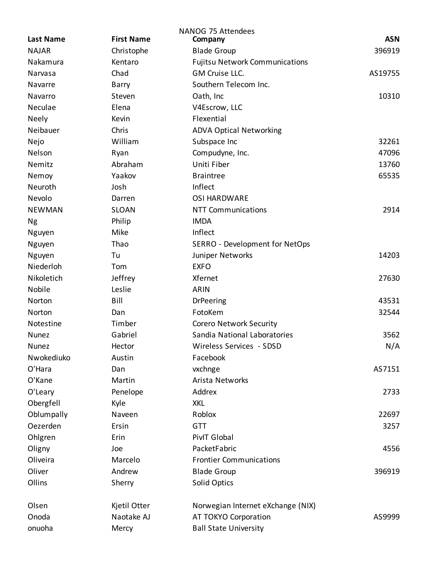|                  |                   | NANOG 75 Attendees                    |            |
|------------------|-------------------|---------------------------------------|------------|
| <b>Last Name</b> | <b>First Name</b> | Company                               | <b>ASN</b> |
| <b>NAJAR</b>     | Christophe        | <b>Blade Group</b>                    | 396919     |
| Nakamura         | Kentaro           | <b>Fujitsu Network Communications</b> |            |
| Narvasa          | Chad              | GM Cruise LLC.                        | AS19755    |
| Navarre          | Barry             | Southern Telecom Inc.                 |            |
| Navarro          | Steven            | Oath, Inc                             | 10310      |
| Neculae          | Elena             | V4Escrow, LLC                         |            |
| <b>Neely</b>     | Kevin             | Flexential                            |            |
| Neibauer         | Chris             | <b>ADVA Optical Networking</b>        |            |
| Nejo             | William           | Subspace Inc                          | 32261      |
| Nelson           | Ryan              | Compudyne, Inc.                       | 47096      |
| Nemitz           | Abraham           | Uniti Fiber                           | 13760      |
| Nemoy            | Yaakov            | <b>Braintree</b>                      | 65535      |
| Neuroth          | Josh              | Inflect                               |            |
| Nevolo           | Darren            | <b>OSI HARDWARE</b>                   |            |
| <b>NEWMAN</b>    | <b>SLOAN</b>      | <b>NTT Communications</b>             | 2914       |
| <b>Ng</b>        | Philip            | <b>IMDA</b>                           |            |
| Nguyen           | Mike              | Inflect                               |            |
| Nguyen           | Thao              | SERRO - Development for NetOps        |            |
| Nguyen           | Tu                | Juniper Networks                      | 14203      |
| Niederloh        | Tom               | <b>EXFO</b>                           |            |
| Nikoletich       | Jeffrey           | Xfernet                               | 27630      |
| Nobile           | Leslie            | <b>ARIN</b>                           |            |
| Norton           | Bill              | <b>DrPeering</b>                      | 43531      |
| Norton           | Dan               | FotoKem                               | 32544      |
| Notestine        | Timber            | <b>Corero Network Security</b>        |            |
| Nunez            | Gabriel           | Sandia National Laboratories          | 3562       |
| <b>Nunez</b>     | Hector            | Wireless Services - SDSD              | N/A        |
| Nwokediuko       | Austin            | Facebook                              |            |
| O'Hara           | Dan               | vxchnge                               | AS7151     |
| O'Kane           | Martin            | Arista Networks                       |            |
| O'Leary          | Penelope          | Addrex                                | 2733       |
| Obergfell        | Kyle              | <b>XKL</b>                            |            |
| Oblumpally       | Naveen            | Roblox                                | 22697      |
| Oezerden         | Ersin             | <b>GTT</b>                            | 3257       |
| Ohlgren          | Erin              | PivIT Global                          |            |
| Oligny           | Joe               | PacketFabric                          | 4556       |
| Oliveira         | Marcelo           | <b>Frontier Communications</b>        |            |
| Oliver           | Andrew            | <b>Blade Group</b>                    | 396919     |
| Ollins           | Sherry            | <b>Solid Optics</b>                   |            |
| Olsen            | Kjetil Otter      | Norwegian Internet eXchange (NIX)     |            |
| Onoda            | Naotake AJ        | AT TOKYO Corporation                  | AS9999     |
| onuoha           | Mercy             | <b>Ball State University</b>          |            |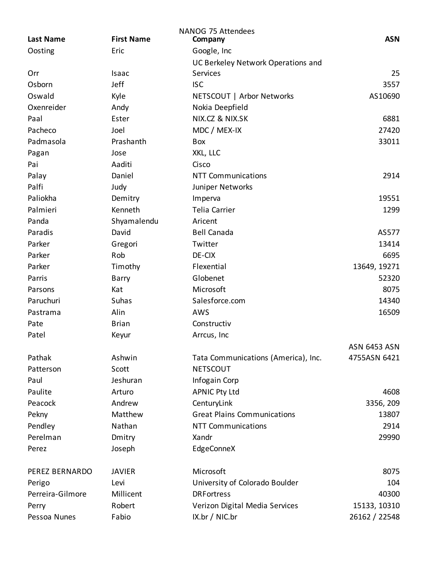| <b>Last Name</b> | <b>First Name</b> | <b>NANOG 75 Attendees</b><br>Company | <b>ASN</b>          |
|------------------|-------------------|--------------------------------------|---------------------|
| Oosting          | Eric              | Google, Inc                          |                     |
|                  |                   | UC Berkeley Network Operations and   |                     |
| Orr              | Isaac             | Services                             | 25                  |
| Osborn           | Jeff              | <b>ISC</b>                           | 3557                |
| Oswald           | Kyle              | NETSCOUT   Arbor Networks            | AS10690             |
| Oxenreider       | Andy              | Nokia Deepfield                      |                     |
| Paal             | Ester             | NIX.CZ & NIX.SK                      | 6881                |
| Pacheco          | Joel              | MDC / MEX-IX                         | 27420               |
| Padmasola        | Prashanth         | Box                                  | 33011               |
| Pagan            | Jose              | XKL, LLC                             |                     |
| Pai              | Aaditi            | Cisco                                |                     |
| Palay            | Daniel            | <b>NTT Communications</b>            | 2914                |
| Palfi            | Judy              | Juniper Networks                     |                     |
| Paliokha         | Demitry           | Imperva                              | 19551               |
| Palmieri         | Kenneth           | <b>Telia Carrier</b>                 | 1299                |
| Panda            | Shyamalendu       | Aricent                              |                     |
| Paradis          | David             | <b>Bell Canada</b>                   | AS577               |
| Parker           | Gregori           | Twitter                              | 13414               |
| Parker           | Rob               | DE-CIX                               | 6695                |
| Parker           | Timothy           | Flexential                           | 13649, 19271        |
| Parris           | Barry             | Globenet                             | 52320               |
| Parsons          | Kat               | Microsoft                            | 8075                |
| Paruchuri        | Suhas             | Salesforce.com                       | 14340               |
| Pastrama         | Alin              | AWS                                  | 16509               |
| Pate             | <b>Brian</b>      | Constructiv                          |                     |
| Patel            | Keyur             | Arrcus, Inc                          |                     |
|                  |                   |                                      | <b>ASN 6453 ASN</b> |
| Pathak           | Ashwin            | Tata Communications (America), Inc.  | 4755ASN 6421        |
| Patterson        | Scott             | <b>NETSCOUT</b>                      |                     |
| Paul             | Jeshuran          | Infogain Corp                        |                     |
| Paulite          | Arturo            | <b>APNIC Pty Ltd</b>                 | 4608                |
| Peacock          | Andrew            | CenturyLink                          | 3356, 209           |
| Pekny            | Matthew           | <b>Great Plains Communications</b>   | 13807               |
| Pendley          | Nathan            | <b>NTT Communications</b>            | 2914                |
| Perelman         | Dmitry            | Xandr                                | 29990               |
| Perez            | Joseph            | EdgeConneX                           |                     |
|                  |                   |                                      |                     |
| PEREZ BERNARDO   | <b>JAVIER</b>     | Microsoft                            | 8075                |
| Perigo           | Levi              | University of Colorado Boulder       | 104                 |
| Perreira-Gilmore | Millicent         | <b>DRF</b> ortress                   | 40300               |
| Perry            | Robert            | Verizon Digital Media Services       | 15133, 10310        |
| Pessoa Nunes     | Fabio             | IX.br / NIC.br                       | 26162 / 22548       |
|                  |                   |                                      |                     |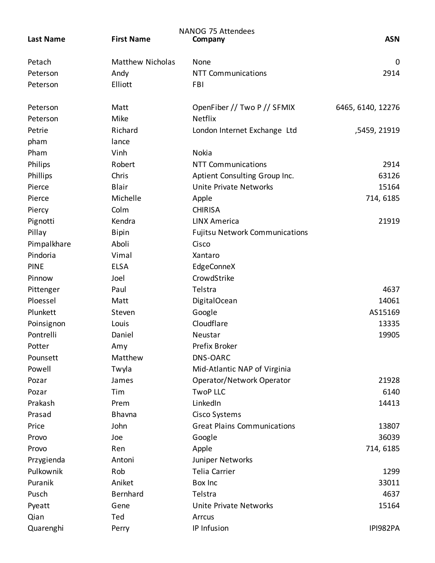|                  |                         | NANOG 75 Attendees                    |                   |
|------------------|-------------------------|---------------------------------------|-------------------|
| <b>Last Name</b> | <b>First Name</b>       | Company                               | <b>ASN</b>        |
| Petach           | <b>Matthew Nicholas</b> | None                                  | 0                 |
| Peterson         | Andy                    | <b>NTT Communications</b>             | 2914              |
| Peterson         | Elliott                 | FBI                                   |                   |
| Peterson         | Matt                    | OpenFiber // Two P // SFMIX           | 6465, 6140, 12276 |
| Peterson         | Mike                    | Netflix                               |                   |
| Petrie           | Richard                 | London Internet Exchange Ltd          | ,5459, 21919      |
| pham             | lance                   |                                       |                   |
| Pham             | Vinh                    | Nokia                                 |                   |
| Philips          | Robert                  | <b>NTT Communications</b>             | 2914              |
| Phillips         | Chris                   | Aptient Consulting Group Inc.         | 63126             |
| Pierce           | <b>Blair</b>            | Unite Private Networks                | 15164             |
| Pierce           | Michelle                | Apple                                 | 714, 6185         |
| Piercy           | Colm                    | <b>CHIRISA</b>                        |                   |
| Pignotti         | Kendra                  | <b>LINX America</b>                   | 21919             |
| Pillay           | <b>Bipin</b>            | <b>Fujitsu Network Communications</b> |                   |
| Pimpalkhare      | Aboli                   | Cisco                                 |                   |
| Pindoria         | Vimal                   | Xantaro                               |                   |
| <b>PINE</b>      | <b>ELSA</b>             | EdgeConneX                            |                   |
| Pinnow           | Joel                    | CrowdStrike                           |                   |
| Pittenger        | Paul                    | Telstra                               | 4637              |
| Ploessel         | Matt                    | DigitalOcean                          | 14061             |
| Plunkett         | Steven                  | Google                                | AS15169           |
| Poinsignon       | Louis                   | Cloudflare                            | 13335             |
| Pontrelli        | Daniel                  | Neustar                               | 19905             |
| Potter           | Amy                     | Prefix Broker                         |                   |
| Pounsett         | Matthew                 | <b>DNS-OARC</b>                       |                   |
| Powell           | Twyla                   | Mid-Atlantic NAP of Virginia          |                   |
| Pozar            | James                   | Operator/Network Operator             | 21928             |
| Pozar            | Tim                     | <b>TwoP LLC</b>                       | 6140              |
| Prakash          | Prem                    | LinkedIn                              | 14413             |
| Prasad           | Bhavna                  | Cisco Systems                         |                   |
| Price            | John                    | <b>Great Plains Communications</b>    | 13807             |
| Provo            | Joe                     | Google                                | 36039             |
| Provo            | Ren                     | Apple                                 | 714, 6185         |
| Przygienda       | Antoni                  | Juniper Networks                      |                   |
| Pulkownik        | Rob                     | Telia Carrier                         | 1299              |
| Puranik          | Aniket                  | Box Inc                               | 33011             |
| Pusch            | Bernhard                | Telstra                               | 4637              |
| Pyeatt           | Gene                    | Unite Private Networks                | 15164             |
| Qian             | Ted                     | Arrcus                                |                   |
| Quarenghi        | Perry                   | IP Infusion                           | IPI982PA          |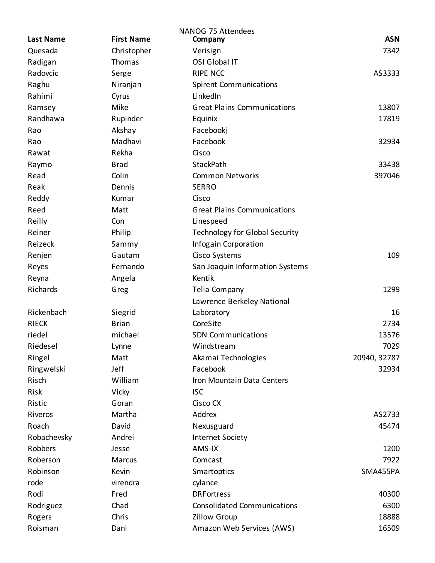|                  |                   | <b>NANOG 75 Attendees</b>             |              |
|------------------|-------------------|---------------------------------------|--------------|
| <b>Last Name</b> | <b>First Name</b> | Company                               | <b>ASN</b>   |
| Quesada          | Christopher       | Verisign                              | 7342         |
| Radigan          | Thomas            | OSI Global IT                         |              |
| Radovcic         | Serge             | <b>RIPE NCC</b>                       | AS3333       |
| Raghu            | Niranjan          | <b>Spirent Communications</b>         |              |
| Rahimi           | Cyrus             | LinkedIn                              |              |
| Ramsey           | Mike              | <b>Great Plains Communications</b>    | 13807        |
| Randhawa         | Rupinder          | Equinix                               | 17819        |
| Rao              | Akshay            | Facebookj                             |              |
| Rao              | Madhavi           | Facebook                              | 32934        |
| Rawat            | Rekha             | Cisco                                 |              |
| Raymo            | <b>Brad</b>       | StackPath                             | 33438        |
| Read             | Colin             | <b>Common Networks</b>                | 397046       |
| Reak             | Dennis            | <b>SERRO</b>                          |              |
| Reddy            | Kumar             | Cisco                                 |              |
| Reed             | Matt              | <b>Great Plains Communications</b>    |              |
| Reilly           | Con               | Linespeed                             |              |
| Reiner           | Philip            | <b>Technology for Global Security</b> |              |
| Reizeck          | Sammy             | Infogain Corporation                  |              |
| Renjen           | Gautam            | Cisco Systems                         | 109          |
| Reyes            | Fernando          | San Joaquin Information Systems       |              |
| Reyna            | Angela            | Kentik                                |              |
| Richards         | Greg              | Telia Company                         | 1299         |
|                  |                   | Lawrence Berkeley National            |              |
| Rickenbach       | Siegrid           | Laboratory                            | 16           |
| <b>RIECK</b>     | <b>Brian</b>      | CoreSite                              | 2734         |
| riedel           | michael           | <b>SDN Communications</b>             | 13576        |
| Riedesel         | Lynne             | Windstream                            | 7029         |
| Ringel           | Matt              | Akamai Technologies                   | 20940, 32787 |
| Ringwelski       | Jeff              | Facebook                              | 32934        |
| Risch            | William           | Iron Mountain Data Centers            |              |
| Risk             | Vicky             | <b>ISC</b>                            |              |
| Ristic           | Goran             | Cisco CX                              |              |
| Riveros          | Martha            | Addrex                                | AS2733       |
| Roach            | David             | Nexusguard                            | 45474        |
| Robachevsky      | Andrei            | Internet Society                      |              |
| Robbers          | Jesse             | AMS-IX                                | 1200         |
| Roberson         | Marcus            | Comcast                               | 7922         |
| Robinson         | Kevin             | Smartoptics                           | SMA455PA     |
| rode             | virendra          | cylance                               |              |
| Rodi             | Fred              | <b>DRFortress</b>                     | 40300        |
| Rodriguez        | Chad              | <b>Consolidated Communications</b>    | 6300         |
| Rogers           | Chris             | Zillow Group                          | 18888        |
| Roisman          | Dani              | Amazon Web Services (AWS)             | 16509        |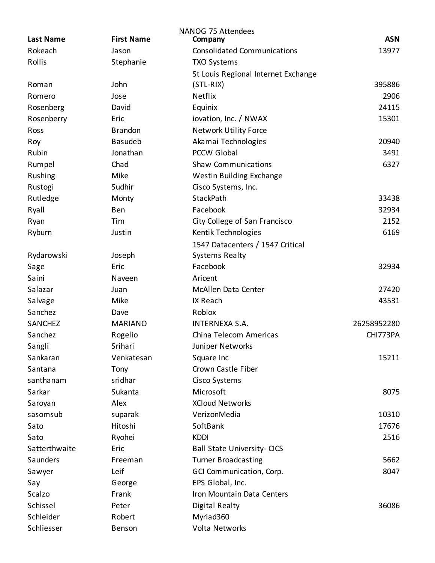|                  |                   | NANOG 75 Attendees                  |             |
|------------------|-------------------|-------------------------------------|-------------|
| <b>Last Name</b> | <b>First Name</b> | Company                             | <b>ASN</b>  |
| Rokeach          | Jason             | <b>Consolidated Communications</b>  | 13977       |
| Rollis           | Stephanie         | <b>TXO Systems</b>                  |             |
|                  |                   | St Louis Regional Internet Exchange |             |
| Roman            | John              | $(STL-RIX)$                         | 395886      |
| Romero           | Jose              | <b>Netflix</b>                      | 2906        |
| Rosenberg        | David             | Equinix                             | 24115       |
| Rosenberry       | Eric              | iovation, Inc. / NWAX               | 15301       |
| Ross             | <b>Brandon</b>    | <b>Network Utility Force</b>        |             |
| Roy              | <b>Basudeb</b>    | Akamai Technologies                 | 20940       |
| Rubin            | Jonathan          | <b>PCCW Global</b>                  | 3491        |
| Rumpel           | Chad              | <b>Shaw Communications</b>          | 6327        |
| Rushing          | Mike              | Westin Building Exchange            |             |
| Rustogi          | Sudhir            | Cisco Systems, Inc.                 |             |
| Rutledge         | Monty             | StackPath                           | 33438       |
| Ryall            | Ben               | Facebook                            | 32934       |
| Ryan             | Tim               | City College of San Francisco       | 2152        |
| Ryburn           | Justin            | Kentik Technologies                 | 6169        |
|                  |                   | 1547 Datacenters / 1547 Critical    |             |
| Rydarowski       | Joseph            | <b>Systems Realty</b>               |             |
| Sage             | Eric              | Facebook                            | 32934       |
| Saini            | Naveen            | Aricent                             |             |
| Salazar          | Juan              | McAllen Data Center                 | 27420       |
| Salvage          | Mike              | IX Reach                            | 43531       |
| Sanchez          | Dave              | Roblox                              |             |
| SANCHEZ          | <b>MARIANO</b>    | <b>INTERNEXA S.A.</b>               | 26258952280 |
| Sanchez          | Rogelio           | China Telecom Americas              | CHI773PA    |
| Sangli           | Srihari           | Juniper Networks                    |             |
| Sankaran         | Venkatesan        | Square Inc                          | 15211       |
| Santana          | Tony              | Crown Castle Fiber                  |             |
| santhanam        | sridhar           | Cisco Systems                       |             |
| Sarkar           | Sukanta           | Microsoft                           | 8075        |
| Saroyan          | Alex              | <b>XCloud Networks</b>              |             |
| sasomsub         | suparak           | VerizonMedia                        | 10310       |
| Sato             | Hitoshi           | SoftBank                            | 17676       |
| Sato             | Ryohei            | <b>KDDI</b>                         | 2516        |
| Satterthwaite    | Eric              | <b>Ball State University- CICS</b>  |             |
| Saunders         | Freeman           | <b>Turner Broadcasting</b>          | 5662        |
| Sawyer           | Leif              | GCI Communication, Corp.            | 8047        |
| Say              | George            | EPS Global, Inc.                    |             |
| Scalzo           | Frank             | Iron Mountain Data Centers          |             |
| Schissel         | Peter             | Digital Realty                      | 36086       |
| Schleider        | Robert            | Myriad360                           |             |
| Schliesser       | Benson            | <b>Volta Networks</b>               |             |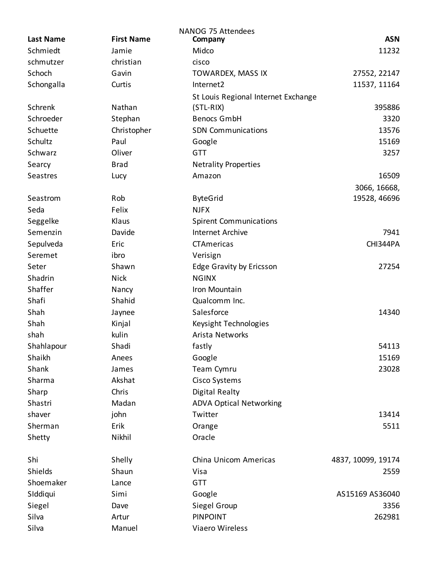| <b>First Name</b><br><b>ASN</b><br><b>Last Name</b><br>Company<br>Schmiedt<br>Midco<br>11232<br>Jamie<br>schmutzer<br>christian<br>cisco<br>Schoch<br>27552, 22147<br>Gavin<br>TOWARDEX, MASS IX<br>Schongalla<br>Internet2<br>11537, 11164<br>Curtis<br>St Louis Regional Internet Exchange<br>Schrenk<br>Nathan<br>395886<br>$(STL-RIX)$<br>Schroeder<br>Stephan<br><b>Benocs GmbH</b><br>3320<br>Schuette<br>Christopher<br>13576<br><b>SDN Communications</b><br>Schultz<br>15169<br>Paul<br>Google<br>Schwarz<br>Oliver<br><b>GTT</b><br>3257<br><b>Brad</b><br><b>Netrality Properties</b><br>Searcy<br>16509<br><b>Seastres</b><br>Amazon<br>Lucy<br>3066, 16668,<br>Rob<br>19528, 46696<br>Seastrom<br><b>ByteGrid</b><br>Felix<br>Seda<br><b>NJFX</b><br>Seggelke<br>Klaus<br><b>Spirent Communications</b><br>7941<br>Semenzin<br>Davide<br><b>Internet Archive</b><br>Sepulveda<br>CTAmericas<br>CHI344PA<br>Eric<br>Seremet<br>ibro<br>Verisign<br>Seter<br>Shawn<br><b>Edge Gravity by Ericsson</b><br>27254<br>Shadrin<br><b>Nick</b><br><b>NGINX</b><br>Shaffer<br>Iron Mountain<br>Nancy<br>Shafi<br>Shahid<br>Qualcomm Inc.<br>Salesforce<br>Shah<br>14340<br>Jaynee<br>Shah<br>Kinjal<br>Keysight Technologies<br>shah<br>kulin<br>Arista Networks<br>54113<br>Shahlapour<br>Shadi<br>fastly<br>Shaikh<br>15169<br>Google<br>Anees<br>23028<br>Shank<br>Team Cymru<br>James<br>Sharma<br>Akshat<br>Cisco Systems |
|------------------------------------------------------------------------------------------------------------------------------------------------------------------------------------------------------------------------------------------------------------------------------------------------------------------------------------------------------------------------------------------------------------------------------------------------------------------------------------------------------------------------------------------------------------------------------------------------------------------------------------------------------------------------------------------------------------------------------------------------------------------------------------------------------------------------------------------------------------------------------------------------------------------------------------------------------------------------------------------------------------------------------------------------------------------------------------------------------------------------------------------------------------------------------------------------------------------------------------------------------------------------------------------------------------------------------------------------------------------------------------------------------------------------------------|
|                                                                                                                                                                                                                                                                                                                                                                                                                                                                                                                                                                                                                                                                                                                                                                                                                                                                                                                                                                                                                                                                                                                                                                                                                                                                                                                                                                                                                                    |
|                                                                                                                                                                                                                                                                                                                                                                                                                                                                                                                                                                                                                                                                                                                                                                                                                                                                                                                                                                                                                                                                                                                                                                                                                                                                                                                                                                                                                                    |
|                                                                                                                                                                                                                                                                                                                                                                                                                                                                                                                                                                                                                                                                                                                                                                                                                                                                                                                                                                                                                                                                                                                                                                                                                                                                                                                                                                                                                                    |
|                                                                                                                                                                                                                                                                                                                                                                                                                                                                                                                                                                                                                                                                                                                                                                                                                                                                                                                                                                                                                                                                                                                                                                                                                                                                                                                                                                                                                                    |
|                                                                                                                                                                                                                                                                                                                                                                                                                                                                                                                                                                                                                                                                                                                                                                                                                                                                                                                                                                                                                                                                                                                                                                                                                                                                                                                                                                                                                                    |
|                                                                                                                                                                                                                                                                                                                                                                                                                                                                                                                                                                                                                                                                                                                                                                                                                                                                                                                                                                                                                                                                                                                                                                                                                                                                                                                                                                                                                                    |
|                                                                                                                                                                                                                                                                                                                                                                                                                                                                                                                                                                                                                                                                                                                                                                                                                                                                                                                                                                                                                                                                                                                                                                                                                                                                                                                                                                                                                                    |
|                                                                                                                                                                                                                                                                                                                                                                                                                                                                                                                                                                                                                                                                                                                                                                                                                                                                                                                                                                                                                                                                                                                                                                                                                                                                                                                                                                                                                                    |
|                                                                                                                                                                                                                                                                                                                                                                                                                                                                                                                                                                                                                                                                                                                                                                                                                                                                                                                                                                                                                                                                                                                                                                                                                                                                                                                                                                                                                                    |
|                                                                                                                                                                                                                                                                                                                                                                                                                                                                                                                                                                                                                                                                                                                                                                                                                                                                                                                                                                                                                                                                                                                                                                                                                                                                                                                                                                                                                                    |
|                                                                                                                                                                                                                                                                                                                                                                                                                                                                                                                                                                                                                                                                                                                                                                                                                                                                                                                                                                                                                                                                                                                                                                                                                                                                                                                                                                                                                                    |
|                                                                                                                                                                                                                                                                                                                                                                                                                                                                                                                                                                                                                                                                                                                                                                                                                                                                                                                                                                                                                                                                                                                                                                                                                                                                                                                                                                                                                                    |
|                                                                                                                                                                                                                                                                                                                                                                                                                                                                                                                                                                                                                                                                                                                                                                                                                                                                                                                                                                                                                                                                                                                                                                                                                                                                                                                                                                                                                                    |
|                                                                                                                                                                                                                                                                                                                                                                                                                                                                                                                                                                                                                                                                                                                                                                                                                                                                                                                                                                                                                                                                                                                                                                                                                                                                                                                                                                                                                                    |
|                                                                                                                                                                                                                                                                                                                                                                                                                                                                                                                                                                                                                                                                                                                                                                                                                                                                                                                                                                                                                                                                                                                                                                                                                                                                                                                                                                                                                                    |
|                                                                                                                                                                                                                                                                                                                                                                                                                                                                                                                                                                                                                                                                                                                                                                                                                                                                                                                                                                                                                                                                                                                                                                                                                                                                                                                                                                                                                                    |
|                                                                                                                                                                                                                                                                                                                                                                                                                                                                                                                                                                                                                                                                                                                                                                                                                                                                                                                                                                                                                                                                                                                                                                                                                                                                                                                                                                                                                                    |
|                                                                                                                                                                                                                                                                                                                                                                                                                                                                                                                                                                                                                                                                                                                                                                                                                                                                                                                                                                                                                                                                                                                                                                                                                                                                                                                                                                                                                                    |
|                                                                                                                                                                                                                                                                                                                                                                                                                                                                                                                                                                                                                                                                                                                                                                                                                                                                                                                                                                                                                                                                                                                                                                                                                                                                                                                                                                                                                                    |
|                                                                                                                                                                                                                                                                                                                                                                                                                                                                                                                                                                                                                                                                                                                                                                                                                                                                                                                                                                                                                                                                                                                                                                                                                                                                                                                                                                                                                                    |
|                                                                                                                                                                                                                                                                                                                                                                                                                                                                                                                                                                                                                                                                                                                                                                                                                                                                                                                                                                                                                                                                                                                                                                                                                                                                                                                                                                                                                                    |
|                                                                                                                                                                                                                                                                                                                                                                                                                                                                                                                                                                                                                                                                                                                                                                                                                                                                                                                                                                                                                                                                                                                                                                                                                                                                                                                                                                                                                                    |
|                                                                                                                                                                                                                                                                                                                                                                                                                                                                                                                                                                                                                                                                                                                                                                                                                                                                                                                                                                                                                                                                                                                                                                                                                                                                                                                                                                                                                                    |
|                                                                                                                                                                                                                                                                                                                                                                                                                                                                                                                                                                                                                                                                                                                                                                                                                                                                                                                                                                                                                                                                                                                                                                                                                                                                                                                                                                                                                                    |
|                                                                                                                                                                                                                                                                                                                                                                                                                                                                                                                                                                                                                                                                                                                                                                                                                                                                                                                                                                                                                                                                                                                                                                                                                                                                                                                                                                                                                                    |
|                                                                                                                                                                                                                                                                                                                                                                                                                                                                                                                                                                                                                                                                                                                                                                                                                                                                                                                                                                                                                                                                                                                                                                                                                                                                                                                                                                                                                                    |
|                                                                                                                                                                                                                                                                                                                                                                                                                                                                                                                                                                                                                                                                                                                                                                                                                                                                                                                                                                                                                                                                                                                                                                                                                                                                                                                                                                                                                                    |
|                                                                                                                                                                                                                                                                                                                                                                                                                                                                                                                                                                                                                                                                                                                                                                                                                                                                                                                                                                                                                                                                                                                                                                                                                                                                                                                                                                                                                                    |
|                                                                                                                                                                                                                                                                                                                                                                                                                                                                                                                                                                                                                                                                                                                                                                                                                                                                                                                                                                                                                                                                                                                                                                                                                                                                                                                                                                                                                                    |
|                                                                                                                                                                                                                                                                                                                                                                                                                                                                                                                                                                                                                                                                                                                                                                                                                                                                                                                                                                                                                                                                                                                                                                                                                                                                                                                                                                                                                                    |
|                                                                                                                                                                                                                                                                                                                                                                                                                                                                                                                                                                                                                                                                                                                                                                                                                                                                                                                                                                                                                                                                                                                                                                                                                                                                                                                                                                                                                                    |
| Chris<br>Sharp<br><b>Digital Realty</b>                                                                                                                                                                                                                                                                                                                                                                                                                                                                                                                                                                                                                                                                                                                                                                                                                                                                                                                                                                                                                                                                                                                                                                                                                                                                                                                                                                                            |
| <b>ADVA Optical Networking</b><br>Shastri<br>Madan                                                                                                                                                                                                                                                                                                                                                                                                                                                                                                                                                                                                                                                                                                                                                                                                                                                                                                                                                                                                                                                                                                                                                                                                                                                                                                                                                                                 |
| shaver<br>john<br>13414<br>Twitter                                                                                                                                                                                                                                                                                                                                                                                                                                                                                                                                                                                                                                                                                                                                                                                                                                                                                                                                                                                                                                                                                                                                                                                                                                                                                                                                                                                                 |
| Sherman<br>Erik<br>5511<br>Orange                                                                                                                                                                                                                                                                                                                                                                                                                                                                                                                                                                                                                                                                                                                                                                                                                                                                                                                                                                                                                                                                                                                                                                                                                                                                                                                                                                                                  |
| Nikhil<br>Oracle<br>Shetty                                                                                                                                                                                                                                                                                                                                                                                                                                                                                                                                                                                                                                                                                                                                                                                                                                                                                                                                                                                                                                                                                                                                                                                                                                                                                                                                                                                                         |
|                                                                                                                                                                                                                                                                                                                                                                                                                                                                                                                                                                                                                                                                                                                                                                                                                                                                                                                                                                                                                                                                                                                                                                                                                                                                                                                                                                                                                                    |
| Shi<br>Shelly<br>China Unicom Americas<br>4837, 10099, 19174                                                                                                                                                                                                                                                                                                                                                                                                                                                                                                                                                                                                                                                                                                                                                                                                                                                                                                                                                                                                                                                                                                                                                                                                                                                                                                                                                                       |
| Shields<br>Shaun<br>2559<br>Visa                                                                                                                                                                                                                                                                                                                                                                                                                                                                                                                                                                                                                                                                                                                                                                                                                                                                                                                                                                                                                                                                                                                                                                                                                                                                                                                                                                                                   |
| Shoemaker<br><b>GTT</b><br>Lance                                                                                                                                                                                                                                                                                                                                                                                                                                                                                                                                                                                                                                                                                                                                                                                                                                                                                                                                                                                                                                                                                                                                                                                                                                                                                                                                                                                                   |
| SIddiqui<br>Simi<br>AS15169 AS36040<br>Google                                                                                                                                                                                                                                                                                                                                                                                                                                                                                                                                                                                                                                                                                                                                                                                                                                                                                                                                                                                                                                                                                                                                                                                                                                                                                                                                                                                      |
| Siegel<br>Siegel Group<br>3356<br>Dave                                                                                                                                                                                                                                                                                                                                                                                                                                                                                                                                                                                                                                                                                                                                                                                                                                                                                                                                                                                                                                                                                                                                                                                                                                                                                                                                                                                             |
| Silva<br>Artur<br><b>PINPOINT</b><br>262981                                                                                                                                                                                                                                                                                                                                                                                                                                                                                                                                                                                                                                                                                                                                                                                                                                                                                                                                                                                                                                                                                                                                                                                                                                                                                                                                                                                        |
| Silva<br>Manuel<br>Viaero Wireless                                                                                                                                                                                                                                                                                                                                                                                                                                                                                                                                                                                                                                                                                                                                                                                                                                                                                                                                                                                                                                                                                                                                                                                                                                                                                                                                                                                                 |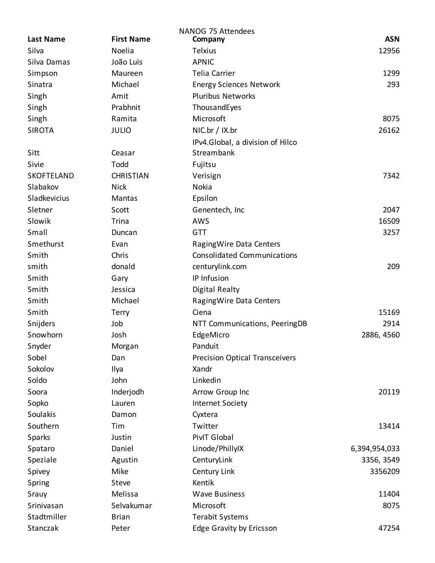| <b>NANOG 75 Attendees</b> |                   |                                       |               |  |
|---------------------------|-------------------|---------------------------------------|---------------|--|
| <b>Last Name</b>          | <b>First Name</b> | Company                               | <b>ASN</b>    |  |
| Silva                     | Noelia            | <b>Telxius</b>                        | 12956         |  |
| Silva Damas               | João Luis         | <b>APNIC</b>                          |               |  |
| Simpson                   | Maureen           | <b>Telia Carrier</b>                  | 1299          |  |
| Sinatra                   | Michael           | <b>Energy Sciences Network</b>        | 293           |  |
| Singh                     | Amit              | <b>Pluribus Networks</b>              |               |  |
| Singh                     | Prabhnit          | ThousandEyes                          |               |  |
| Singh                     | Ramita            | Microsoft                             | 8075          |  |
| <b>SIROTA</b>             | <b>JULIO</b>      | NIC.br / IX.br                        | 26162         |  |
|                           |                   | IPv4.Global, a division of Hilco      |               |  |
| Sitt                      | Ceasar            | Streambank                            |               |  |
| Sivie                     | Todd              | Fujitsu                               |               |  |
| SKOFTELAND                | <b>CHRISTIAN</b>  | Verisign                              | 7342          |  |
| Slabakov                  | <b>Nick</b>       | Nokia                                 |               |  |
| Sladkevicius              | Mantas            | Epsilon                               |               |  |
| Sletner                   | Scott             | Genentech, Inc                        | 2047          |  |
| Slowik                    | Trina             | <b>AWS</b>                            | 16509         |  |
| Small                     | Duncan            | <b>GTT</b>                            | 3257          |  |
| Smethurst                 | Evan              | Raging Wire Data Centers              |               |  |
| Smith                     | Chris             | <b>Consolidated Communications</b>    |               |  |
| smith                     | donald            | centurylink.com                       | 209           |  |
| Smith                     | Gary              | IP Infusion                           |               |  |
| Smith                     | Jessica           | <b>Digital Realty</b>                 |               |  |
| Smith                     | Michael           | Raging Wire Data Centers              |               |  |
| Smith                     | Terry             | Ciena                                 | 15169         |  |
| Snijders                  | Job               | NTT Communications, PeeringDB         | 2914          |  |
| Snowhorn                  | Josh              | EdgeMicro                             | 2886, 4560    |  |
| Snyder                    | Morgan            | Panduit                               |               |  |
| Sobel                     | Dan               | <b>Precision Optical Transceivers</b> |               |  |
| Sokolov                   | Ilya              | Xandr                                 |               |  |
| Soldo                     | John              | Linkedin                              |               |  |
| Soora                     | Inderjodh         | Arrow Group Inc                       | 20119         |  |
| Sopko                     | Lauren            | <b>Internet Society</b>               |               |  |
| Soulakis                  | Damon             | Cyxtera                               |               |  |
| Southern                  | Tim               | Twitter                               | 13414         |  |
| <b>Sparks</b>             | Justin            | PivIT Global                          |               |  |
| Spataro                   | Daniel            | Linode/PhillyIX                       | 6,394,954,033 |  |
| Speziale                  | Agustin           | CenturyLink                           | 3356, 3549    |  |
| Spivey                    | Mike              | Century Link                          | 3356209       |  |
| Spring                    | Steve             | Kentik                                |               |  |
| Srauy                     | Melissa           | <b>Wave Business</b>                  | 11404         |  |
| Srinivasan                | Selvakumar        | Microsoft                             | 8075          |  |
| Stadtmiller               | <b>Brian</b>      | <b>Terabit Systems</b>                |               |  |
| Stanczak                  | Peter             | Edge Gravity by Ericsson              | 47254         |  |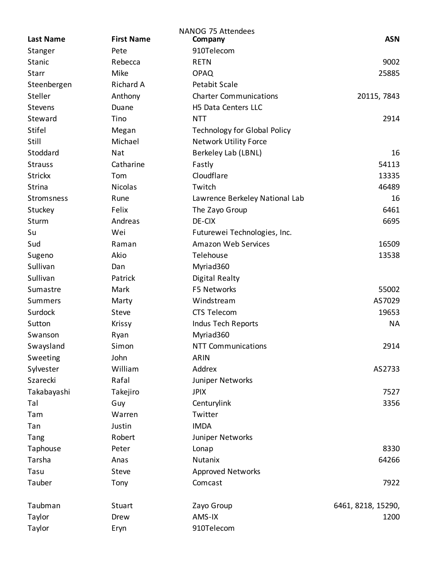| <b>Last Name</b> | <b>First Name</b> | <b>NANOG 75 Attendees</b><br>Company | <b>ASN</b>         |
|------------------|-------------------|--------------------------------------|--------------------|
| Stanger          | Pete              | 910Telecom                           |                    |
| Stanic           | Rebecca           | <b>RETN</b>                          | 9002               |
| <b>Starr</b>     | Mike              | <b>OPAQ</b>                          | 25885              |
| Steenbergen      | Richard A         | <b>Petabit Scale</b>                 |                    |
| Steller          | Anthony           | <b>Charter Communications</b>        | 20115, 7843        |
| <b>Stevens</b>   | Duane             | H5 Data Centers LLC                  |                    |
| Steward          | Tino              | <b>NTT</b>                           | 2914               |
| Stifel           | Megan             | <b>Technology for Global Policy</b>  |                    |
| Still            | Michael           | <b>Network Utility Force</b>         |                    |
| Stoddard         | Nat               | Berkeley Lab (LBNL)                  | 16                 |
| <b>Strauss</b>   | Catharine         | Fastly                               | 54113              |
| <b>Strickx</b>   | Tom               | Cloudflare                           | 13335              |
| Strina           | <b>Nicolas</b>    | Twitch                               | 46489              |
| Stromsness       | Rune              | Lawrence Berkeley National Lab       | 16                 |
| Stuckey          | Felix             | The Zayo Group                       | 6461               |
| Sturm            | Andreas           | DE-CIX                               | 6695               |
| Su               | Wei               | Futurewei Technologies, Inc.         |                    |
| Sud              | Raman             | <b>Amazon Web Services</b>           | 16509              |
| Sugeno           | Akio              | Telehouse                            | 13538              |
| Sullivan         | Dan               | Myriad360                            |                    |
| Sullivan         | Patrick           | Digital Realty                       |                    |
| Sumastre         | Mark              | F5 Networks                          | 55002              |
| <b>Summers</b>   | Marty             | Windstream                           | AS7029             |
| Surdock          | Steve             | CTS Telecom                          | 19653              |
| Sutton           | <b>Krissy</b>     | <b>Indus Tech Reports</b>            | <b>NA</b>          |
| Swanson          | Ryan              | Myriad360                            |                    |
| Swaysland        | Simon             | <b>NTT Communications</b>            | 2914               |
| Sweeting         | John              | <b>ARIN</b>                          |                    |
| Sylvester        | William           | Addrex                               | AS2733             |
| Szarecki         | Rafal             | Juniper Networks                     |                    |
| Takabayashi      | Takejiro          | <b>JPIX</b>                          | 7527               |
| Tal              | Guy               | Centurylink                          | 3356               |
| Tam              | Warren            | Twitter                              |                    |
| Tan              | Justin            | <b>IMDA</b>                          |                    |
| Tang             | Robert            | Juniper Networks                     |                    |
| Taphouse         | Peter             | Lonap                                | 8330               |
| Tarsha           | Anas              | Nutanix                              | 64266              |
| Tasu             | Steve             | <b>Approved Networks</b>             |                    |
| Tauber           | Tony              | Comcast                              | 7922               |
| Taubman          | Stuart            | Zayo Group                           | 6461, 8218, 15290, |
| Taylor           | Drew              | AMS-IX                               | 1200               |
| Taylor           | Eryn              | 910Telecom                           |                    |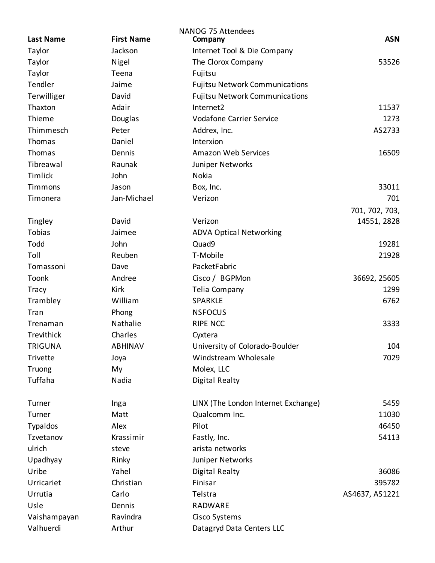| <b>NANOG 75 Attendees</b> |                   |                                       |                |  |
|---------------------------|-------------------|---------------------------------------|----------------|--|
| <b>Last Name</b>          | <b>First Name</b> | Company                               | <b>ASN</b>     |  |
| Taylor                    | Jackson           | Internet Tool & Die Company           |                |  |
| Taylor                    | Nigel             | The Clorox Company                    | 53526          |  |
| Taylor                    | Teena             | Fujitsu                               |                |  |
| Tendler                   | Jaime             | <b>Fujitsu Network Communications</b> |                |  |
| Terwilliger               | David             | <b>Fujitsu Network Communications</b> |                |  |
| Thaxton                   | Adair             | Internet2                             | 11537          |  |
| Thieme                    | Douglas           | <b>Vodafone Carrier Service</b>       | 1273           |  |
| Thimmesch                 | Peter             | Addrex, Inc.                          | AS2733         |  |
| Thomas                    | Daniel            | Interxion                             |                |  |
| Thomas                    | Dennis            | <b>Amazon Web Services</b>            | 16509          |  |
| Tibreawal                 | Raunak            | Juniper Networks                      |                |  |
| Timlick                   | John              | Nokia                                 |                |  |
| Timmons                   | Jason             | Box, Inc.                             | 33011          |  |
| Timonera                  | Jan-Michael       | Verizon                               | 701            |  |
|                           |                   |                                       | 701, 702, 703, |  |
| Tingley                   | David             | Verizon                               | 14551, 2828    |  |
| Tobias                    | Jaimee            | <b>ADVA Optical Networking</b>        |                |  |
| Todd                      | John              | Quad9                                 | 19281          |  |
| Toll                      | Reuben            | T-Mobile                              | 21928          |  |
| Tomassoni                 | Dave              | PacketFabric                          |                |  |
| Toonk                     | Andree            | Cisco / BGPMon                        | 36692, 25605   |  |
| <b>Tracy</b>              | Kirk              | Telia Company                         | 1299           |  |
| Trambley                  | William           | SPARKLE                               | 6762           |  |
| Tran                      | Phong             | <b>NSFOCUS</b>                        |                |  |
| Trenaman                  | Nathalie          | <b>RIPE NCC</b>                       | 3333           |  |
| Trevithick                | Charles           | Cyxtera                               |                |  |
| TRIGUNA                   | <b>ABHINAV</b>    | University of Colorado-Boulder        | 104            |  |
| Trivette                  | Joya              | Windstream Wholesale                  | 7029           |  |
| Truong                    | My                | Molex, LLC                            |                |  |
| Tuffaha                   | Nadia             | <b>Digital Realty</b>                 |                |  |
| Turner                    | Inga              | LINX (The London Internet Exchange)   | 5459           |  |
| Turner                    | Matt              | Qualcomm Inc.                         | 11030          |  |
| <b>Typaldos</b>           | Alex              | Pilot                                 | 46450          |  |
| Tzvetanov                 | Krassimir         | Fastly, Inc.                          | 54113          |  |
| ulrich                    | steve             | arista networks                       |                |  |
| Upadhyay                  | Rinky             | Juniper Networks                      |                |  |
| Uribe                     | Yahel             | Digital Realty                        | 36086          |  |
| Urricariet                | Christian         | Finisar                               | 395782         |  |
| Urrutia                   | Carlo             | Telstra                               | AS4637, AS1221 |  |
| Usle                      | Dennis            | RADWARE                               |                |  |
| Vaishampayan              | Ravindra          | Cisco Systems                         |                |  |
| Valhuerdi                 | Arthur            | Datagryd Data Centers LLC             |                |  |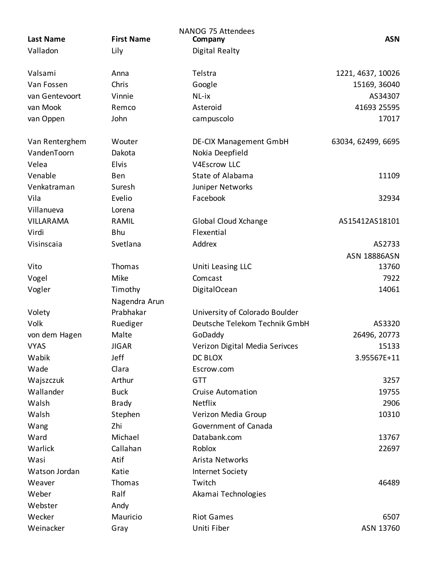| <b>Last Name</b> | <b>First Name</b> | <b>NANOG 75 Attendees</b><br>Company | <b>ASN</b>          |
|------------------|-------------------|--------------------------------------|---------------------|
| Valladon         | Lily              | Digital Realty                       |                     |
|                  |                   |                                      |                     |
| Valsami          | Anna              | Telstra                              | 1221, 4637, 10026   |
| Van Fossen       | Chris             | Google                               | 15169, 36040        |
| van Gentevoort   | Vinnie            | NL-ix                                | AS34307             |
| van Mook         | Remco             | Asteroid                             | 41693 25595         |
| van Oppen        | John              | campuscolo                           | 17017               |
|                  |                   |                                      |                     |
| Van Renterghem   | Wouter            | <b>DE-CIX Management GmbH</b>        | 63034, 62499, 6695  |
| VandenToorn      | Dakota            | Nokia Deepfield                      |                     |
| Velea            | Elvis             | <b>V4Escrow LLC</b>                  |                     |
| Venable          | Ben               | State of Alabama                     | 11109               |
| Venkatraman      | Suresh            | Juniper Networks                     |                     |
| Vila             | Evelio            | Facebook                             | 32934               |
| Villanueva       | Lorena            |                                      |                     |
| <b>VILLARAMA</b> | RAMIL             | Global Cloud Xchange                 | AS15412AS18101      |
| Virdi            | Bhu               | Flexential                           |                     |
| Visinscaia       | Svetlana          | Addrex                               | AS2733              |
|                  |                   |                                      | <b>ASN 18886ASN</b> |
| Vito             | <b>Thomas</b>     | Uniti Leasing LLC                    | 13760               |
| Vogel            | Mike              | Comcast                              | 7922                |
| Vogler           | Timothy           | DigitalOcean                         | 14061               |
|                  | Nagendra Arun     |                                      |                     |
| Volety           | Prabhakar         | University of Colorado Boulder       |                     |
| Volk             | Ruediger          | Deutsche Telekom Technik GmbH        | AS3320              |
| von dem Hagen    | Malte             | GoDaddy                              | 26496, 20773        |
| <b>VYAS</b>      | <b>JIGAR</b>      | Verizon Digital Media Serivces       | 15133               |
| Wabik            | Jeff              | DC BLOX                              | 3.95567E+11         |
| Wade             | Clara             | Escrow.com                           |                     |
| Wajszczuk        | Arthur            | <b>GTT</b>                           | 3257                |
| Wallander        | <b>Buck</b>       | <b>Cruise Automation</b>             | 19755               |
| Walsh            | <b>Brady</b>      | <b>Netflix</b>                       | 2906                |
| Walsh            | Stephen           | Verizon Media Group                  | 10310               |
| Wang             | Zhi               | Government of Canada                 |                     |
| Ward             | Michael           | Databank.com                         | 13767               |
| Warlick          | Callahan          | Roblox                               | 22697               |
| Wasi             | Atif              | Arista Networks                      |                     |
| Watson Jordan    | Katie             | <b>Internet Society</b>              |                     |
| Weaver           | Thomas            | Twitch                               | 46489               |
| Weber            | Ralf              | Akamai Technologies                  |                     |
| Webster          | Andy              |                                      |                     |
| Wecker           | Mauricio          | <b>Riot Games</b>                    | 6507                |
| Weinacker        | Gray              | Uniti Fiber                          | ASN 13760           |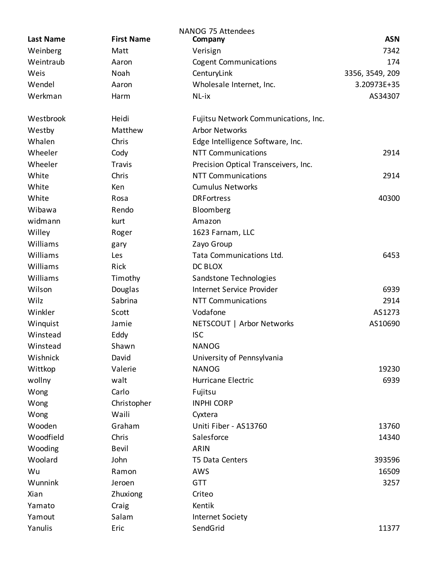| <b>Last Name</b> | <b>First Name</b> | <b>NANOG 75 Attendees</b><br>Company | <b>ASN</b>      |
|------------------|-------------------|--------------------------------------|-----------------|
| Weinberg         | Matt              | Verisign                             | 7342            |
| Weintraub        | Aaron             | <b>Cogent Communications</b>         | 174             |
| Weis             | Noah              | CenturyLink                          | 3356, 3549, 209 |
| Wendel           | Aaron             | Wholesale Internet, Inc.             | 3.20973E+35     |
| Werkman          | Harm              | NL-ix                                | AS34307         |
|                  |                   |                                      |                 |
| Westbrook        | Heidi             | Fujitsu Network Communications, Inc. |                 |
| Westby           | Matthew           | <b>Arbor Networks</b>                |                 |
| Whalen           | Chris             | Edge Intelligence Software, Inc.     |                 |
| Wheeler          | Cody              | <b>NTT Communications</b>            | 2914            |
| Wheeler          | <b>Travis</b>     | Precision Optical Transceivers, Inc. |                 |
| White            | Chris             | <b>NTT Communications</b>            | 2914            |
| White            | Ken               | <b>Cumulus Networks</b>              |                 |
| White            | Rosa              | <b>DRF</b> or tress                  | 40300           |
| Wibawa           | Rendo             | Bloomberg                            |                 |
| widmann          | kurt              | Amazon                               |                 |
| Willey           | Roger             | 1623 Farnam, LLC                     |                 |
| Williams         | gary              | Zayo Group                           |                 |
| Williams         | Les               | Tata Communications Ltd.             | 6453            |
| Williams         | Rick              | DC BLOX                              |                 |
| Williams         | Timothy           | Sandstone Technologies               |                 |
| Wilson           | Douglas           | Internet Service Provider            | 6939            |
| Wilz             | Sabrina           | <b>NTT Communications</b>            | 2914            |
| Winkler          | Scott             | Vodafone                             | AS1273          |
| Winquist         | Jamie             | NETSCOUT   Arbor Networks            | AS10690         |
| Winstead         | Eddy              | <b>ISC</b>                           |                 |
| Winstead         | Shawn             | <b>NANOG</b>                         |                 |
| Wishnick         | David             | University of Pennsylvania           |                 |
| Wittkop          | Valerie           | <b>NANOG</b>                         | 19230           |
| wollny           | walt              | Hurricane Electric                   | 6939            |
| Wong             | Carlo             | Fujitsu                              |                 |
| Wong             | Christopher       | <b>INPHI CORP</b>                    |                 |
| Wong             | Waili             | Cyxtera                              |                 |
| Wooden           | Graham            | Uniti Fiber - AS13760                | 13760           |
| Woodfield        | Chris             | Salesforce                           | 14340           |
| Wooding          | Bevil             | ARIN                                 |                 |
| Woolard          | John              | T5 Data Centers                      | 393596          |
| Wu               | Ramon             | AWS                                  | 16509           |
| Wunnink          | Jeroen            | <b>GTT</b>                           | 3257            |
| Xian             | Zhuxiong          | Criteo                               |                 |
| Yamato           | Craig             | Kentik                               |                 |
| Yamout           | Salam             | <b>Internet Society</b>              |                 |
| Yanulis          | Eric              | SendGrid                             | 11377           |